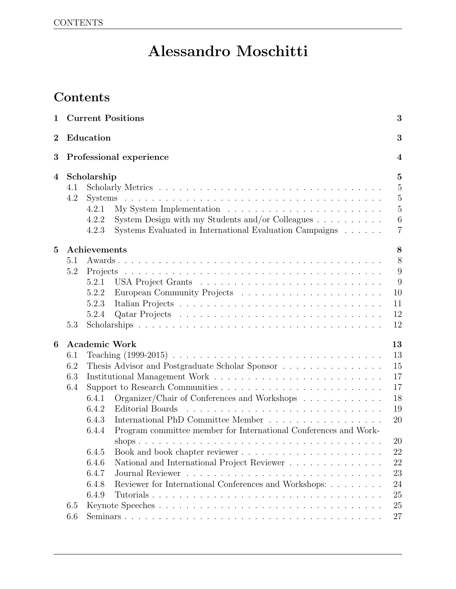# Alessandro Moschitti

# Contents

| $\mathbf 1$      |     | <b>Current Positions</b>                                                      | 3                |
|------------------|-----|-------------------------------------------------------------------------------|------------------|
| $\overline{2}$   |     | Education                                                                     | 3                |
| 3                |     | Professional experience                                                       | $\boldsymbol{4}$ |
| $\boldsymbol{4}$ |     | Scholarship                                                                   | $\overline{5}$   |
|                  | 4.1 |                                                                               | $\overline{5}$   |
|                  | 4.2 |                                                                               | $\overline{5}$   |
|                  |     | 4.2.1                                                                         | $\overline{5}$   |
|                  |     | System Design with my Students and/or Colleagues $\dots \dots \dots$<br>4.2.2 | $6\phantom{.}6$  |
|                  |     | Systems Evaluated in International Evaluation Campaigns<br>4.2.3              | $\overline{7}$   |
| $\overline{5}$   |     | Achievements                                                                  | 8                |
|                  | 5.1 |                                                                               | 8                |
|                  | 5.2 |                                                                               | $9\,$            |
|                  |     | 5.2.1                                                                         | 9                |
|                  |     | 5.2.2                                                                         | 10               |
|                  |     | 5.2.3                                                                         | 11               |
|                  |     | 5.2.4                                                                         | 12               |
|                  | 5.3 |                                                                               | 12               |
| 6                |     | <b>Academic Work</b>                                                          | 13               |
|                  | 6.1 |                                                                               | 13               |
|                  | 6.2 | Thesis Advisor and Postgraduate Scholar Sponsor                               | 15               |
|                  | 6.3 |                                                                               | 17               |
|                  | 6.4 |                                                                               | 17               |
|                  |     | Organizer/Chair of Conferences and Workshops<br>6.4.1                         | 18               |
|                  |     | 6.4.2<br>Editorial Boards                                                     | 19               |
|                  |     | 6.4.3<br>International PhD Committee Member                                   | 20               |
|                  |     | Program committee member for International Conferences and Work-<br>6.4.4     |                  |
|                  |     |                                                                               | 20               |
|                  |     | 6.4.5                                                                         | 22               |
|                  |     | 6.4.6<br>National and International Project Reviewer                          | 22               |
|                  |     | 6.4.7                                                                         | 23               |
|                  |     | Reviewer for International Conferences and Workshops:<br>6.4.8                | 24               |
|                  |     | 6.4.9<br>Tutorials                                                            | 25               |
|                  | 6.5 |                                                                               | 25               |
|                  | 6.6 |                                                                               | 27               |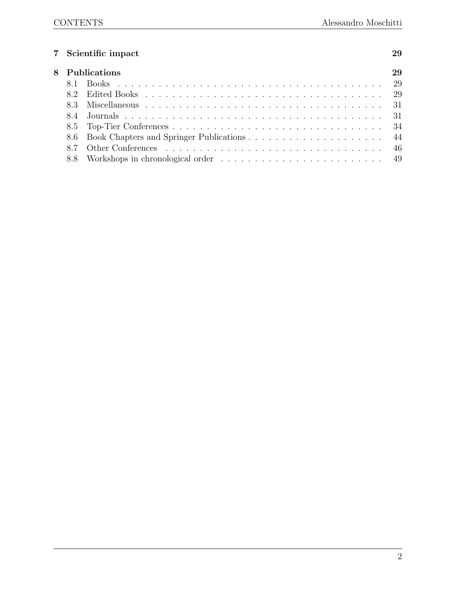# 7 Scientific impact 29

|  | 8 Publications |
|--|----------------|
|  |                |
|  |                |
|  |                |
|  |                |
|  |                |
|  |                |
|  |                |
|  |                |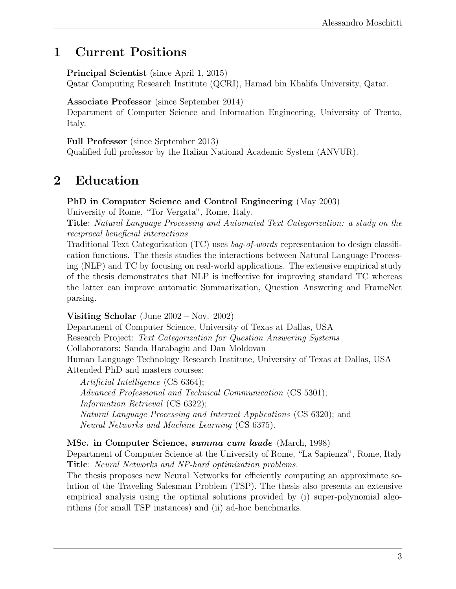# 1 Current Positions

Principal Scientist (since April 1, 2015)

Qatar Computing Research Institute (QCRI), Hamad bin Khalifa University, Qatar.

Associate Professor (since September 2014)

Department of Computer Science and Information Engineering, University of Trento, Italy.

Full Professor (since September 2013)

Qualified full professor by the Italian National Academic System (ANVUR).

# 2 Education

# PhD in Computer Science and Control Engineering (May 2003)

University of Rome, "Tor Vergata", Rome, Italy.

Title: Natural Language Processing and Automated Text Categorization: a study on the reciprocal beneficial interactions

Traditional Text Categorization (TC) uses bag-of-words representation to design classification functions. The thesis studies the interactions between Natural Language Processing (NLP) and TC by focusing on real-world applications. The extensive empirical study of the thesis demonstrates that NLP is ineffective for improving standard TC whereas the latter can improve automatic Summarization, Question Answering and FrameNet parsing.

Visiting Scholar (June 2002 – Nov. 2002)

Department of Computer Science, University of Texas at Dallas, USA

Research Project: Text Categorization for Question Answering Systems

Collaborators: Sanda Harabagiu and Dan Moldovan

Human Language Technology Research Institute, University of Texas at Dallas, USA Attended PhD and masters courses:

Artificial Intelligence (CS 6364); Advanced Professional and Technical Communication (CS 5301); Information Retrieval (CS 6322); Natural Language Processing and Internet Applications (CS 6320); and Neural Networks and Machine Learning (CS 6375).

# MSc. in Computer Science, summa cum laude (March, 1998)

Department of Computer Science at the University of Rome, "La Sapienza", Rome, Italy Title: Neural Networks and NP-hard optimization problems.

The thesis proposes new Neural Networks for efficiently computing an approximate solution of the Traveling Salesman Problem (TSP). The thesis also presents an extensive empirical analysis using the optimal solutions provided by (i) super-polynomial algorithms (for small TSP instances) and (ii) ad-hoc benchmarks.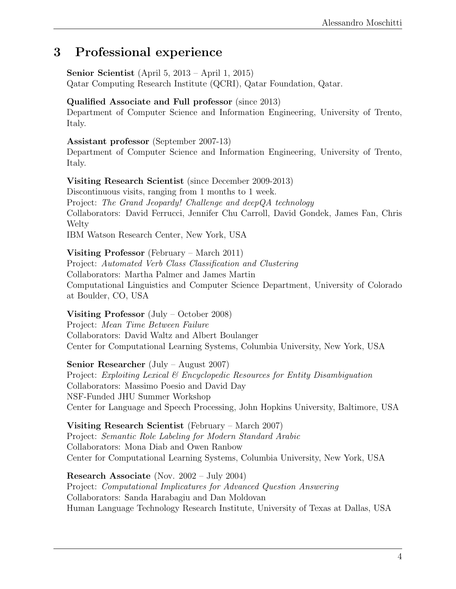# 3 Professional experience

Senior Scientist (April 5, 2013 – April 1, 2015) Qatar Computing Research Institute (QCRI), Qatar Foundation, Qatar.

# Qualified Associate and Full professor (since 2013)

Department of Computer Science and Information Engineering, University of Trento, Italy.

## Assistant professor (September 2007-13)

Department of Computer Science and Information Engineering, University of Trento, Italy.

# Visiting Research Scientist (since December 2009-2013)

Discontinuous visits, ranging from 1 months to 1 week. Project: The Grand Jeopardy! Challenge and deepQA technology Collaborators: David Ferrucci, Jennifer Chu Carroll, David Gondek, James Fan, Chris **Welty** IBM Watson Research Center, New York, USA

# Visiting Professor (February – March 2011)

Project: Automated Verb Class Classification and Clustering Collaborators: Martha Palmer and James Martin Computational Linguistics and Computer Science Department, University of Colorado at Boulder, CO, USA

# Visiting Professor (July – October 2008)

Project: Mean Time Between Failure Collaborators: David Waltz and Albert Boulanger Center for Computational Learning Systems, Columbia University, New York, USA

# Senior Researcher (July – August 2007)

Project: Exploiting Lexical & Encyclopedic Resources for Entity Disambiguation Collaborators: Massimo Poesio and David Day NSF-Funded JHU Summer Workshop Center for Language and Speech Processing, John Hopkins University, Baltimore, USA

Visiting Research Scientist (February – March 2007) Project: Semantic Role Labeling for Modern Standard Arabic Collaborators: Mona Diab and Owen Ranbow Center for Computational Learning Systems, Columbia University, New York, USA

Research Associate (Nov. 2002 – July 2004) Project: Computational Implicatures for Advanced Question Answering Collaborators: Sanda Harabagiu and Dan Moldovan Human Language Technology Research Institute, University of Texas at Dallas, USA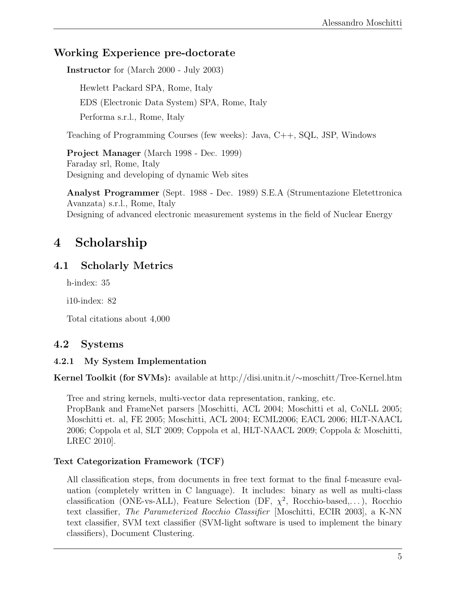# Working Experience pre-doctorate

Instructor for (March 2000 - July 2003)

Hewlett Packard SPA, Rome, Italy EDS (Electronic Data System) SPA, Rome, Italy Performa s.r.l., Rome, Italy

Teaching of Programming Courses (few weeks): Java, C++, SQL, JSP, Windows

Project Manager (March 1998 - Dec. 1999) Faraday srl, Rome, Italy Designing and developing of dynamic Web sites

Analyst Programmer (Sept. 1988 - Dec. 1989) S.E.A (Strumentazione Eletettronica Avanzata) s.r.l., Rome, Italy Designing of advanced electronic measurement systems in the field of Nuclear Energy

# 4 Scholarship

# 4.1 Scholarly Metrics

h-index: 35

i10-index: 82

Total citations about 4,000

# 4.2 Systems

## 4.2.1 My System Implementation

Kernel Toolkit (for SVMs): available at http://disi.unitn.it/∼moschitt/Tree-Kernel.htm

Tree and string kernels, multi-vector data representation, ranking, etc.

PropBank and FrameNet parsers [Moschitti, ACL 2004; Moschitti et al, CoNLL 2005; Moschitti et. al, FE 2005; Moschitti, ACL 2004; ECML2006; EACL 2006; HLT-NAACL 2006; Coppola et al, SLT 2009; Coppola et al, HLT-NAACL 2009; Coppola & Moschitti, LREC 2010].

## Text Categorization Framework (TCF)

All classification steps, from documents in free text format to the final f-measure evaluation (completely written in C language). It includes: binary as well as multi-class classification (ONE-vs-ALL), Feature Selection (DF,  $\chi^2$ , Rocchio-based,...), Rocchio text classifier, The Parameterized Rocchio Classifier [Moschitti, ECIR 2003], a K-NN text classifier, SVM text classifier (SVM-light software is used to implement the binary classifiers), Document Clustering.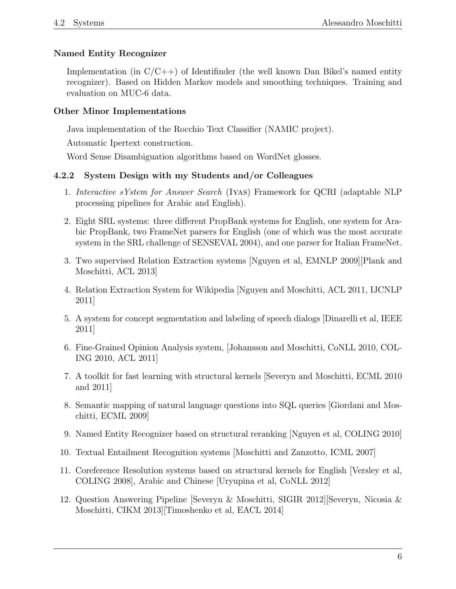## Named Entity Recognizer

Implementation (in  $C/C++$ ) of Identifinder (the well known Dan Bikel's named entity recognizer). Based on Hidden Markov models and smoothing techniques. Training and evaluation on MUC-6 data.

## Other Minor Implementations

Java implementation of the Rocchio Text Classifier (NAMIC project).

Automatic Ipertext construction.

Word Sense Disambiguation algorithms based on WordNet glosses.

# 4.2.2 System Design with my Students and/or Colleagues

- 1. Interactive sYstem for Answer Search (Iyas) Framework for QCRI (adaptable NLP processing pipelines for Arabic and English).
- 2. Eight SRL systems: three different PropBank systems for English, one system for Arabic PropBank, two FrameNet parsers for English (one of which was the most accurate system in the SRL challenge of SENSEVAL 2004), and one parser for Italian FrameNet.
- 3. Two supervised Relation Extraction systems [Nguyen et al, EMNLP 2009][Plank and Moschitti, ACL 2013]
- 4. Relation Extraction System for Wikipedia [Nguyen and Moschitti, ACL 2011, IJCNLP 2011]
- 5. A system for concept segmentation and labeling of speech dialogs [Dinarelli et al, IEEE 2011]
- 6. Fine-Grained Opinion Analysis system, [Johansson and Moschitti, CoNLL 2010, COL-ING 2010, ACL 2011]
- 7. A toolkit for fast learning with structural kernels [Severyn and Moschitti, ECML 2010 and 2011]
- 8. Semantic mapping of natural language questions into SQL queries [Giordani and Moschitti, ECML 2009]
- 9. Named Entity Recognizer based on structural reranking [Nguyen et al, COLING 2010]
- 10. Textual Entailment Recognition systems [Moschitti and Zanzotto, ICML 2007]
- 11. Coreference Resolution systems based on structural kernels for English [Versley et al, COLING 2008], Arabic and Chinese [Uryupina et al, CoNLL 2012]
- 12. Question Answering Pipeline [Severyn & Moschitti, SIGIR 2012][Severyn, Nicosia & Moschitti, CIKM 2013][Timoshenko et al, EACL 2014]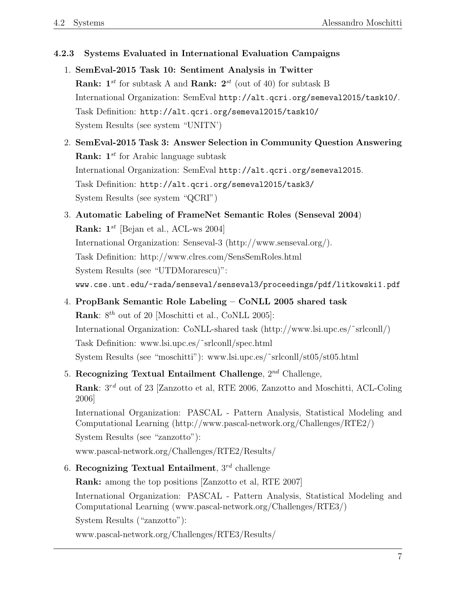### 4.2.3 Systems Evaluated in International Evaluation Campaigns

- 1. SemEval-2015 Task 10: Sentiment Analysis in Twitter **Rank:**  $1^{st}$  for subtask A and **Rank:**  $2^{st}$  (out of 40) for subtask B International Organization: SemEval http://alt.qcri.org/semeval2015/task10/. Task Definition: http://alt.qcri.org/semeval2015/task10/ System Results (see system "UNITN')
- 2. SemEval-2015 Task 3: Answer Selection in Community Question Answering **Rank:**  $1^{st}$  for Arabic language subtask International Organization: SemEval http://alt.qcri.org/semeval2015. Task Definition: http://alt.qcri.org/semeval2015/task3/ System Results (see system "QCRI")
- 3. Automatic Labeling of FrameNet Semantic Roles (Senseval 2004) **Rank:**  $1^{st}$  [Bejan et al., ACL-ws 2004] International Organization: Senseval-3 (http://www.senseval.org/). Task Definition: http://www.clres.com/SensSemRoles.html System Results (see "UTDMorarescu)": www.cse.unt.edu/~rada/senseval/senseval3/proceedings/pdf/litkowski1.pdf
- 4. PropBank Semantic Role Labeling CoNLL 2005 shared task **Rank**:  $8^{th}$  out of 20 [Moschitti et al., CoNLL 2005]: International Organization: CoNLL-shared task (http://www.lsi.upc.es/˜srlconll/) Task Definition: www.lsi.upc.es/˜srlconll/spec.html System Results (see "moschitti"): www.lsi.upc.es/˜srlconll/st05/st05.html
- 5. Recognizing Textual Entailment Challenge,  $2^{nd}$  Challenge, Rank:  $3^{rd}$  out of 23 [Zanzotto et al, RTE 2006, Zanzotto and Moschitti, ACL-Coling 2006] International Organization: PASCAL - Pattern Analysis, Statistical Modeling and Computational Learning (http://www.pascal-network.org/Challenges/RTE2/) System Results (see "zanzotto"):

www.pascal-network.org/Challenges/RTE2/Results/

6. Recognizing Textual Entailment,  $3^{rd}$  challenge

Rank: among the top positions [Zanzotto et al, RTE 2007] International Organization: PASCAL - Pattern Analysis, Statistical Modeling and Computational Learning (www.pascal-network.org/Challenges/RTE3/) System Results ("zanzotto"):

www.pascal-network.org/Challenges/RTE3/Results/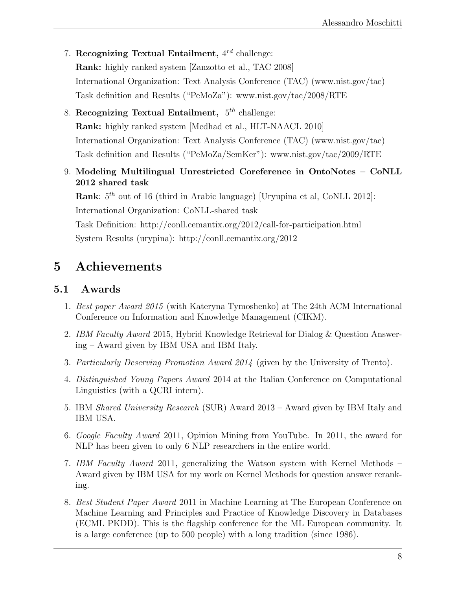- 7. Recognizing Textual Entailment,  $4^{rd}$  challenge: Rank: highly ranked system [Zanzotto et al., TAC 2008] International Organization: Text Analysis Conference (TAC) (www.nist.gov/tac) Task definition and Results ("PeMoZa"): www.nist.gov/tac/2008/RTE
- 8. Recognizing Textual Entailment,  $5^{th}$  challenge: Rank: highly ranked system [Medhad et al., HLT-NAACL 2010] International Organization: Text Analysis Conference (TAC) (www.nist.gov/tac) Task definition and Results ("PeMoZa/SemKer"): www.nist.gov/tac/2009/RTE
- 9. Modeling Multilingual Unrestricted Coreference in OntoNotes CoNLL 2012 shared task

**Rank**:  $5<sup>th</sup>$  out of 16 (third in Arabic language) [Uryupina et al, CoNLL 2012]: International Organization: CoNLL-shared task Task Definition: http://conll.cemantix.org/2012/call-for-participation.html System Results (urypina): http://conll.cemantix.org/2012

# 5 Achievements

# 5.1 Awards

- 1. Best paper Award 2015 (with Kateryna Tymoshenko) at The 24th ACM International Conference on Information and Knowledge Management (CIKM).
- 2. IBM Faculty Award 2015, Hybrid Knowledge Retrieval for Dialog & Question Answering – Award given by IBM USA and IBM Italy.
- 3. Particularly Deserving Promotion Award 2014 (given by the University of Trento).
- 4. Distinguished Young Papers Award 2014 at the Italian Conference on Computational Linguistics (with a QCRI intern).
- 5. IBM Shared University Research (SUR) Award 2013 Award given by IBM Italy and IBM USA.
- 6. Google Faculty Award 2011, Opinion Mining from YouTube. In 2011, the award for NLP has been given to only 6 NLP researchers in the entire world.
- 7. IBM Faculty Award 2011, generalizing the Watson system with Kernel Methods Award given by IBM USA for my work on Kernel Methods for question answer reranking.
- 8. Best Student Paper Award 2011 in Machine Learning at The European Conference on Machine Learning and Principles and Practice of Knowledge Discovery in Databases (ECML PKDD). This is the flagship conference for the ML European community. It is a large conference (up to 500 people) with a long tradition (since 1986).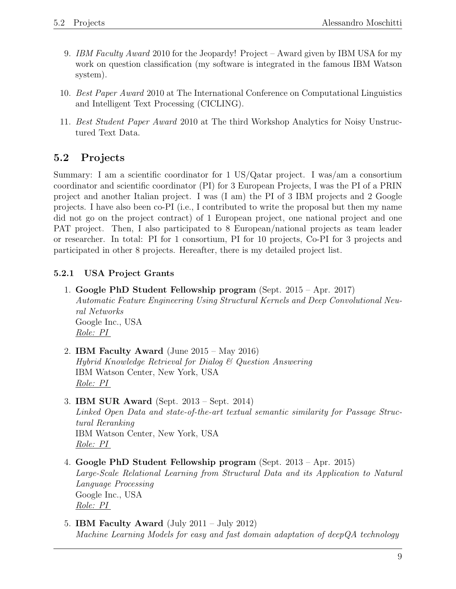- 9. IBM Faculty Award 2010 for the Jeopardy! Project Award given by IBM USA for my work on question classification (my software is integrated in the famous IBM Watson system).
- 10. Best Paper Award 2010 at The International Conference on Computational Linguistics and Intelligent Text Processing (CICLING).
- 11. Best Student Paper Award 2010 at The third Workshop Analytics for Noisy Unstructured Text Data.

# 5.2 Projects

Summary: I am a scientific coordinator for 1 US/Qatar project. I was/am a consortium coordinator and scientific coordinator (PI) for 3 European Projects, I was the PI of a PRIN project and another Italian project. I was (I am) the PI of 3 IBM projects and 2 Google projects. I have also been co-PI (i.e., I contributed to write the proposal but then my name did not go on the project contract) of 1 European project, one national project and one PAT project. Then, I also participated to 8 European/national projects as team leader or researcher. In total: PI for 1 consortium, PI for 10 projects, Co-PI for 3 projects and participated in other 8 projects. Hereafter, there is my detailed project list.

## 5.2.1 USA Project Grants

- 1. Google PhD Student Fellowship program (Sept. 2015 Apr. 2017) Automatic Feature Engineering Using Structural Kernels and Deep Convolutional Neural Networks Google Inc., USA Role: PI
- 2. IBM Faculty Award (June 2015 May 2016) Hybrid Knowledge Retrieval for Dialog & Question Answering IBM Watson Center, New York, USA Role: PI
- 3. IBM SUR Award (Sept. 2013 Sept. 2014) Linked Open Data and state-of-the-art textual semantic similarity for Passage Structural Reranking IBM Watson Center, New York, USA Role: PI
- 4. Google PhD Student Fellowship program (Sept. 2013 Apr. 2015) Large-Scale Relational Learning from Structural Data and its Application to Natural Language Processing Google Inc., USA Role: PI
- 5. IBM Faculty Award (July 2011 July 2012) Machine Learning Models for easy and fast domain adaptation of deepQA technology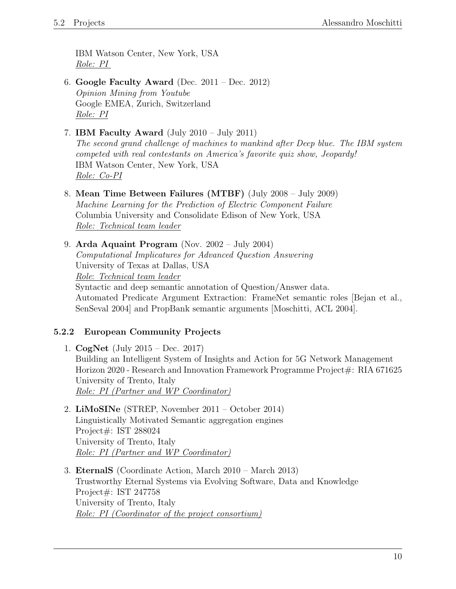IBM Watson Center, New York, USA Role: PI

- 6. Google Faculty Award (Dec. 2011 Dec. 2012) Opinion Mining from Youtube Google EMEA, Zurich, Switzerland Role: PI
- 7. **IBM Faculty Award** (July 2010 July 2011)

The second grand challenge of machines to mankind after Deep blue. The IBM system competed with real contestants on America's favorite quiz show, Jeopardy! IBM Watson Center, New York, USA Role: Co-PI

- 8. Mean Time Between Failures (MTBF) (July 2008 July 2009) Machine Learning for the Prediction of Electric Component Failure Columbia University and Consolidate Edison of New York, USA Role: Technical team leader
- 9. Arda Aquaint Program (Nov. 2002 July 2004) Computational Implicatures for Advanced Question Answering University of Texas at Dallas, USA Role: Technical team leader Syntactic and deep semantic annotation of Question/Answer data. Automated Predicate Argument Extraction: FrameNet semantic roles [Bejan et al., SenSeval 2004] and PropBank semantic arguments [Moschitti, ACL 2004].

#### 5.2.2 European Community Projects

- 1. CogNet (July 2015 Dec. 2017) Building an Intelligent System of Insights and Action for 5G Network Management Horizon 2020 - Research and Innovation Framework Programme Project#: RIA 671625 University of Trento, Italy Role: PI (Partner and WP Coordinator)
- 2. LiMoSINe (STREP, November 2011 October 2014) Linguistically Motivated Semantic aggregation engines Project#: IST 288024 University of Trento, Italy Role: PI (Partner and WP Coordinator)
- 3. EternalS (Coordinate Action, March 2010 March 2013) Trustworthy Eternal Systems via Evolving Software, Data and Knowledge Project#: IST 247758 University of Trento, Italy Role: PI (Coordinator of the project consortium)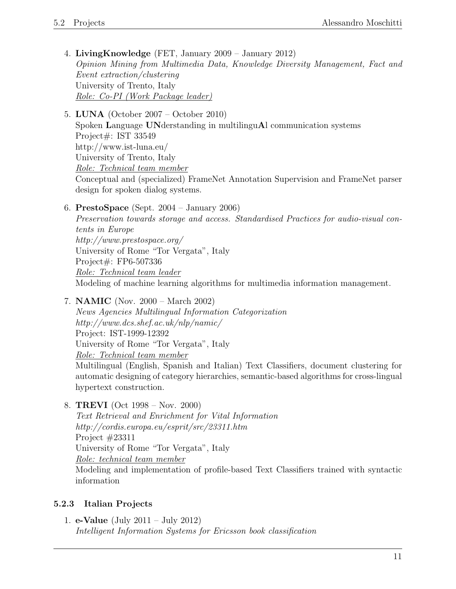- 4. LivingKnowledge (FET, January 2009 January 2012) Opinion Mining from Multimedia Data, Knowledge Diversity Management, Fact and Event extraction/clustering University of Trento, Italy Role: Co-PI (Work Package leader)
- 5. LUNA (October 2007 October 2010)

Spoken Language UNderstanding in multilinguAl communication systems Project#: IST 33549 http://www.ist-luna.eu/ University of Trento, Italy Role: Technical team member Conceptual and (specialized) FrameNet Annotation Supervision and FrameNet parser design for spoken dialog systems.

6. PrestoSpace (Sept. 2004 – January 2006)

Preservation towards storage and access. Standardised Practices for audio-visual contents in Europe http://www.prestospace.org/ University of Rome "Tor Vergata", Italy Project#: FP6-507336 Role: Technical team leader Modeling of machine learning algorithms for multimedia information management.

7. NAMIC (Nov. 2000 – March 2002)

News Agencies Multilingual Information Categorization http://www.dcs.shef.ac.uk/nlp/namic/ Project: IST-1999-12392 University of Rome "Tor Vergata", Italy Role: Technical team member Multilingual (English, Spanish and Italian) Text Classifiers, document clustering for automatic designing of category hierarchies, semantic-based algorithms for cross-lingual hypertext construction.

8. TREVI (Oct 1998 – Nov. 2000)

Text Retrieval and Enrichment for Vital Information http://cordis.europa.eu/esprit/src/23311.htm Project #23311 University of Rome "Tor Vergata", Italy Role: technical team member Modeling and implementation of profile-based Text Classifiers trained with syntactic information

#### 5.2.3 Italian Projects

1. e-Value (July 2011 – July 2012) Intelligent Information Systems for Ericsson book classification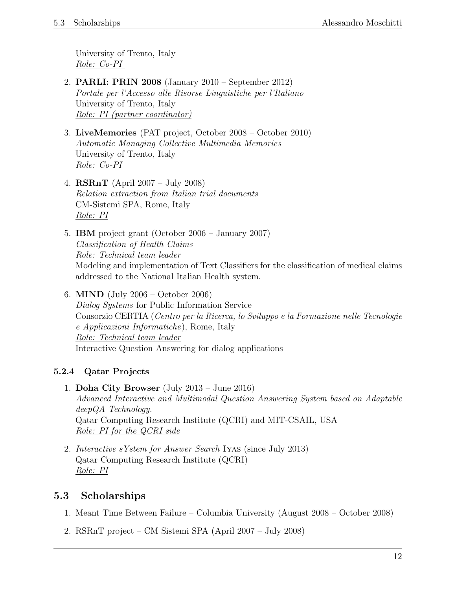University of Trento, Italy Role: Co-PI

- 2. PARLI: PRIN 2008 (January 2010 September 2012) Portale per l'Accesso alle Risorse Linguistiche per l'Italiano University of Trento, Italy Role: PI (partner coordinator)
- 3. LiveMemories (PAT project, October 2008 October 2010) Automatic Managing Collective Multimedia Memories University of Trento, Italy Role: Co-PI
- 4. RSRnT (April 2007 July 2008) Relation extraction from Italian trial documents CM-Sistemi SPA, Rome, Italy Role: PI
- 5. IBM project grant (October 2006 January 2007) Classification of Health Claims Role: Technical team leader Modeling and implementation of Text Classifiers for the classification of medical claims addressed to the National Italian Health system.
- 6. MIND (July 2006 October 2006) Dialog Systems for Public Information Service Consorzio CERTIA (Centro per la Ricerca, lo Sviluppo e la Formazione nelle Tecnologie e Applicazioni Informatiche), Rome, Italy Role: Technical team leader Interactive Question Answering for dialog applications

# 5.2.4 Qatar Projects

- 1. Doha City Browser (July 2013 June 2016) Advanced Interactive and Multimodal Question Answering System based on Adaptable deepQA Technology. Qatar Computing Research Institute (QCRI) and MIT-CSAIL, USA Role: PI for the QCRI side
- 2. Interactive sYstem for Answer Search Iyas (since July 2013) Qatar Computing Research Institute (QCRI) Role: PI

# 5.3 Scholarships

- 1. Meant Time Between Failure Columbia University (August 2008 October 2008)
- 2. RSRnT project CM Sistemi SPA (April 2007 July 2008)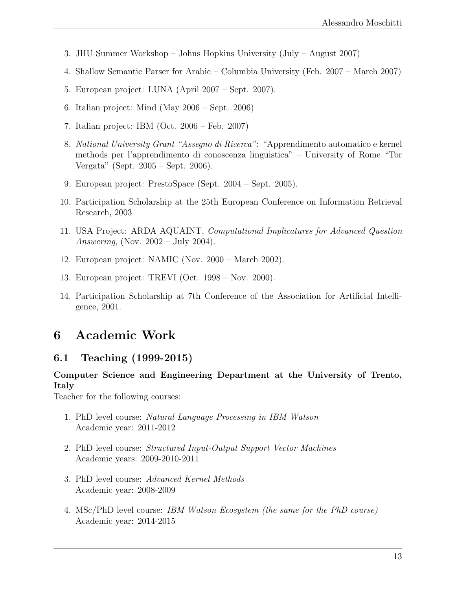- 3. JHU Summer Workshop Johns Hopkins University (July August 2007)
- 4. Shallow Semantic Parser for Arabic Columbia University (Feb. 2007 March 2007)
- 5. European project: LUNA (April 2007 Sept. 2007).
- 6. Italian project: Mind (May 2006 Sept. 2006)
- 7. Italian project: IBM (Oct. 2006 Feb. 2007)
- 8. National University Grant "Assegno di Ricerca": "Apprendimento automatico e kernel methods per l'apprendimento di conoscenza linguistica" – University of Rome "Tor Vergata" (Sept. 2005 – Sept. 2006).
- 9. European project: PrestoSpace (Sept. 2004 Sept. 2005).
- 10. Participation Scholarship at the 25th European Conference on Information Retrieval Research, 2003
- 11. USA Project: ARDA AQUAINT, Computational Implicatures for Advanced Question Answering, (Nov.  $2002 - \text{July } 2004$ ).
- 12. European project: NAMIC (Nov. 2000 March 2002).
- 13. European project: TREVI (Oct. 1998 Nov. 2000).
- 14. Participation Scholarship at 7th Conference of the Association for Artificial Intelligence, 2001.

# 6 Academic Work

# 6.1 Teaching (1999-2015)

### Computer Science and Engineering Department at the University of Trento, Italy

Teacher for the following courses:

- 1. PhD level course: Natural Language Processing in IBM Watson Academic year: 2011-2012
- 2. PhD level course: Structured Input-Output Support Vector Machines Academic years: 2009-2010-2011
- 3. PhD level course: Advanced Kernel Methods Academic year: 2008-2009
- 4. MSc/PhD level course: IBM Watson Ecosystem (the same for the PhD course) Academic year: 2014-2015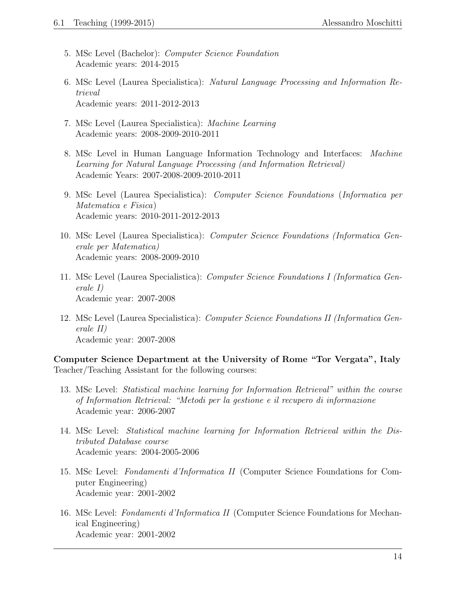- 5. MSc Level (Bachelor): Computer Science Foundation Academic years: 2014-2015
- 6. MSc Level (Laurea Specialistica): Natural Language Processing and Information Retrieval Academic years: 2011-2012-2013
- 7. MSc Level (Laurea Specialistica): Machine Learning Academic years: 2008-2009-2010-2011
- 8. MSc Level in Human Language Information Technology and Interfaces: Machine Learning for Natural Language Processing (and Information Retrieval) Academic Years: 2007-2008-2009-2010-2011
- 9. MSc Level (Laurea Specialistica): Computer Science Foundations (Informatica per Matematica e Fisica) Academic years: 2010-2011-2012-2013
- 10. MSc Level (Laurea Specialistica): Computer Science Foundations (Informatica Generale per Matematica) Academic years: 2008-2009-2010
- 11. MSc Level (Laurea Specialistica): Computer Science Foundations I (Informatica Generale I) Academic year: 2007-2008
- 12. MSc Level (Laurea Specialistica): Computer Science Foundations II (Informatica Generale II) Academic year: 2007-2008

Computer Science Department at the University of Rome "Tor Vergata", Italy Teacher/Teaching Assistant for the following courses:

- 13. MSc Level: Statistical machine learning for Information Retrieval" within the course of Information Retrieval: "Metodi per la gestione e il recupero di informazione Academic year: 2006-2007
- 14. MSc Level: Statistical machine learning for Information Retrieval within the Distributed Database course Academic years: 2004-2005-2006
- 15. MSc Level: Fondamenti d'Informatica II (Computer Science Foundations for Computer Engineering) Academic year: 2001-2002
- 16. MSc Level: Fondamenti d'Informatica II (Computer Science Foundations for Mechanical Engineering) Academic year: 2001-2002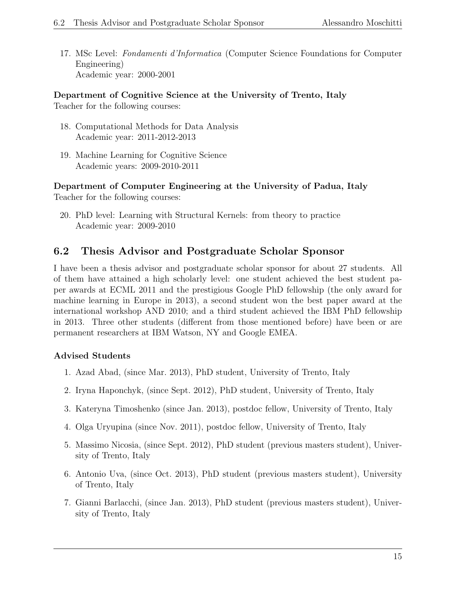17. MSc Level: Fondamenti d'Informatica (Computer Science Foundations for Computer Engineering) Academic year: 2000-2001

Department of Cognitive Science at the University of Trento, Italy

Teacher for the following courses:

- 18. Computational Methods for Data Analysis Academic year: 2011-2012-2013
- 19. Machine Learning for Cognitive Science Academic years: 2009-2010-2011

Department of Computer Engineering at the University of Padua, Italy Teacher for the following courses:

20. PhD level: Learning with Structural Kernels: from theory to practice Academic year: 2009-2010

# 6.2 Thesis Advisor and Postgraduate Scholar Sponsor

I have been a thesis advisor and postgraduate scholar sponsor for about 27 students. All of them have attained a high scholarly level: one student achieved the best student paper awards at ECML 2011 and the prestigious Google PhD fellowship (the only award for machine learning in Europe in 2013), a second student won the best paper award at the international workshop AND 2010; and a third student achieved the IBM PhD fellowship in 2013. Three other students (different from those mentioned before) have been or are permanent researchers at IBM Watson, NY and Google EMEA.

## Advised Students

- 1. Azad Abad, (since Mar. 2013), PhD student, University of Trento, Italy
- 2. Iryna Haponchyk, (since Sept. 2012), PhD student, University of Trento, Italy
- 3. Kateryna Timoshenko (since Jan. 2013), postdoc fellow, University of Trento, Italy
- 4. Olga Uryupina (since Nov. 2011), postdoc fellow, University of Trento, Italy
- 5. Massimo Nicosia, (since Sept. 2012), PhD student (previous masters student), University of Trento, Italy
- 6. Antonio Uva, (since Oct. 2013), PhD student (previous masters student), University of Trento, Italy
- 7. Gianni Barlacchi, (since Jan. 2013), PhD student (previous masters student), University of Trento, Italy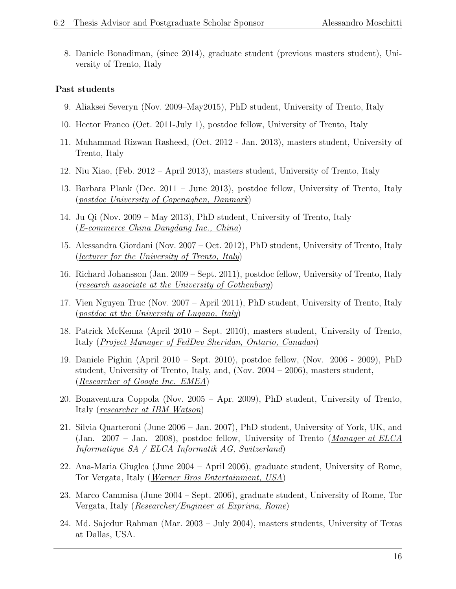8. Daniele Bonadiman, (since 2014), graduate student (previous masters student), University of Trento, Italy

#### Past students

- 9. Aliaksei Severyn (Nov. 2009–May2015), PhD student, University of Trento, Italy
- 10. Hector Franco (Oct. 2011-July 1), postdoc fellow, University of Trento, Italy
- 11. Muhammad Rizwan Rasheed, (Oct. 2012 Jan. 2013), masters student, University of Trento, Italy
- 12. Niu Xiao, (Feb. 2012 April 2013), masters student, University of Trento, Italy
- 13. Barbara Plank (Dec. 2011 June 2013), postdoc fellow, University of Trento, Italy (postdoc University of Copenaghen, Danmark)
- 14. Ju Qi (Nov. 2009 May 2013), PhD student, University of Trento, Italy (E-commerce China Dangdang Inc., China)
- 15. Alessandra Giordani (Nov. 2007 Oct. 2012), PhD student, University of Trento, Italy (lecturer for the University of Trento, Italy)
- 16. Richard Johansson (Jan. 2009 Sept. 2011), postdoc fellow, University of Trento, Italy (research associate at the University of Gothenburg)
- 17. Vien Nguyen Truc (Nov. 2007 April 2011), PhD student, University of Trento, Italy (postdoc at the University of Lugano, Italy)
- 18. Patrick McKenna (April 2010 Sept. 2010), masters student, University of Trento, Italy (Project Manager of FedDev Sheridan, Ontario, Canadan)
- 19. Daniele Pighin (April 2010 Sept. 2010), postdoc fellow, (Nov. 2006 2009), PhD student, University of Trento, Italy, and, (Nov. 2004 – 2006), masters student, (Researcher of Google Inc. EMEA)
- 20. Bonaventura Coppola (Nov. 2005 Apr. 2009), PhD student, University of Trento, Italy (researcher at IBM Watson)
- 21. Silvia Quarteroni (June 2006 Jan. 2007), PhD student, University of York, UK, and (Jan. 2007 – Jan. 2008), postdoc fellow, University of Trento (Manager at ELCA Informatique SA / ELCA Informatik AG, Switzerland)
- 22. Ana-Maria Giuglea (June 2004 April 2006), graduate student, University of Rome, Tor Vergata, Italy (*Warner Bros Entertainment, USA*)
- 23. Marco Cammisa (June 2004 Sept. 2006), graduate student, University of Rome, Tor Vergata, Italy (Researcher/Engineer at Exprivia, Rome)
- 24. Md. Sajedur Rahman (Mar. 2003 July 2004), masters students, University of Texas at Dallas, USA.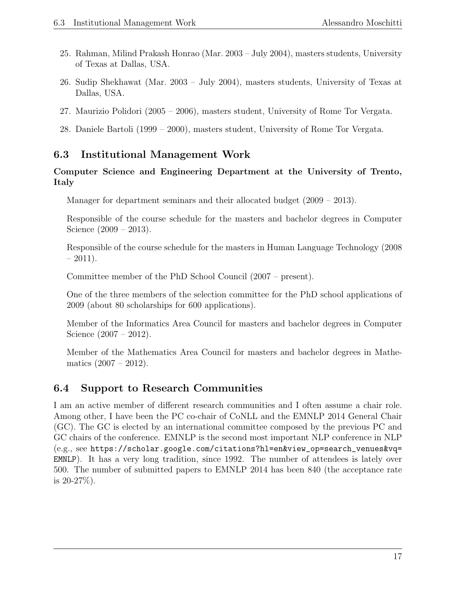- 25. Rahman, Milind Prakash Honrao (Mar. 2003 July 2004), masters students, University of Texas at Dallas, USA.
- 26. Sudip Shekhawat (Mar. 2003 July 2004), masters students, University of Texas at Dallas, USA.
- 27. Maurizio Polidori (2005 2006), masters student, University of Rome Tor Vergata.
- 28. Daniele Bartoli (1999 2000), masters student, University of Rome Tor Vergata.

# 6.3 Institutional Management Work

## Computer Science and Engineering Department at the University of Trento, Italy

Manager for department seminars and their allocated budget (2009 – 2013).

Responsible of the course schedule for the masters and bachelor degrees in Computer Science (2009 – 2013).

Responsible of the course schedule for the masters in Human Language Technology (2008  $-2011$ ).

Committee member of the PhD School Council (2007 – present).

One of the three members of the selection committee for the PhD school applications of 2009 (about 80 scholarships for 600 applications).

Member of the Informatics Area Council for masters and bachelor degrees in Computer Science (2007 – 2012).

Member of the Mathematics Area Council for masters and bachelor degrees in Mathematics  $(2007 - 2012)$ .

# 6.4 Support to Research Communities

I am an active member of different research communities and I often assume a chair role. Among other, I have been the PC co-chair of CoNLL and the EMNLP 2014 General Chair (GC). The GC is elected by an international committee composed by the previous PC and GC chairs of the conference. EMNLP is the second most important NLP conference in NLP (e.g., see https://scholar.google.com/citations?hl=en&view\_op=search\_venues&vq= EMNLP). It has a very long tradition, since 1992. The number of attendees is lately over 500. The number of submitted papers to EMNLP 2014 has been 840 (the acceptance rate is  $20-27\%$ ).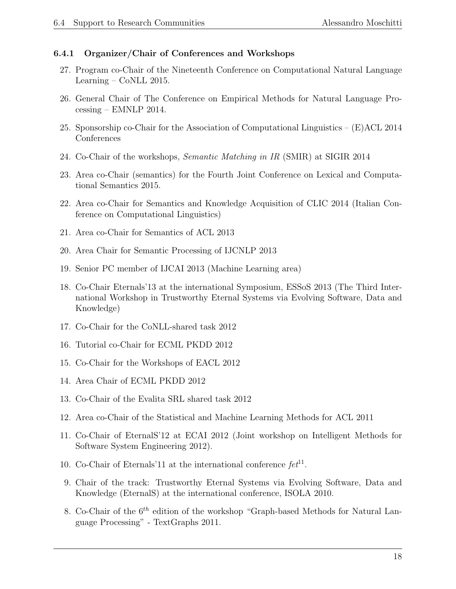#### 6.4.1 Organizer/Chair of Conferences and Workshops

- 27. Program co-Chair of the Nineteenth Conference on Computational Natural Language Learning – CoNLL 2015.
- 26. General Chair of The Conference on Empirical Methods for Natural Language Processing – EMNLP 2014.
- 25. Sponsorship co-Chair for the Association of Computational Linguistics  $(E)$ ACL 2014 Conferences
- 24. Co-Chair of the workshops, Semantic Matching in IR (SMIR) at SIGIR 2014
- 23. Area co-Chair (semantics) for the Fourth Joint Conference on Lexical and Computational Semantics 2015.
- 22. Area co-Chair for Semantics and Knowledge Acquisition of CLIC 2014 (Italian Conference on Computational Linguistics)
- 21. Area co-Chair for Semantics of ACL 2013
- 20. Area Chair for Semantic Processing of IJCNLP 2013
- 19. Senior PC member of IJCAI 2013 (Machine Learning area)
- 18. Co-Chair Eternals'13 at the international Symposium, ESSoS 2013 (The Third International Workshop in Trustworthy Eternal Systems via Evolving Software, Data and Knowledge)
- 17. Co-Chair for the CoNLL-shared task 2012
- 16. Tutorial co-Chair for ECML PKDD 2012
- 15. Co-Chair for the Workshops of EACL 2012
- 14. Area Chair of ECML PKDD 2012
- 13. Co-Chair of the Evalita SRL shared task 2012
- 12. Area co-Chair of the Statistical and Machine Learning Methods for ACL 2011
- 11. Co-Chair of EternalS'12 at ECAI 2012 (Joint workshop on Intelligent Methods for Software System Engineering 2012).
- 10. Co-Chair of Eternals'11 at the international conference  $fct^{11}$ .
- 9. Chair of the track: Trustworthy Eternal Systems via Evolving Software, Data and Knowledge (EternalS) at the international conference, ISOLA 2010.
- 8. Co-Chair of the  $6<sup>th</sup>$  edition of the workshop "Graph-based Methods for Natural Language Processing" - TextGraphs 2011.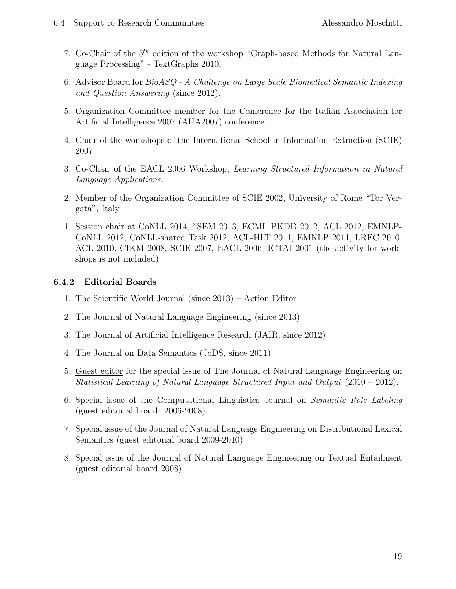- 7. Co-Chair of the  $5<sup>th</sup>$  edition of the workshop "Graph-based Methods for Natural Language Processing" - TextGraphs 2010.
- 6. Advisor Board for BioASQ A Challenge on Large Scale Biomedical Semantic Indexing and Question Answering (since 2012).
- 5. Organization Committee member for the Conference for the Italian Association for Artificial Intelligence 2007 (AIIA2007) conference.
- 4. Chair of the workshops of the International School in Information Extraction (SCIE) 2007.
- 3. Co-Chair of the EACL 2006 Workshop, Learning Structured Information in Natural Language Applications.
- 2. Member of the Organization Committee of SCIE 2002, University of Rome "Tor Vergata", Italy.
- 1. Session chair at CoNLL 2014, \*SEM 2013, ECML PKDD 2012, ACL 2012, EMNLP-CoNLL 2012, CoNLL-shared Task 2012, ACL-HLT 2011, EMNLP 2011, LREC 2010, ACL 2010, CIKM 2008, SCIE 2007, EACL 2006, ICTAI 2001 (the activity for workshops is not included).

## 6.4.2 Editorial Boards

- 1. The Scientific World Journal (since 2013) Action Editor
- 2. The Journal of Natural Language Engineering (since 2013)
- 3. The Journal of Artificial Intelligence Research (JAIR, since 2012)
- 4. The Journal on Data Semantics (JoDS, since 2011)
- 5. Guest editor for the special issue of The Journal of Natural Language Engineering on Statistical Learning of Natural Language Structured Input and Output (2010 – 2012).
- 6. Special issue of the Computational Linguistics Journal on Semantic Role Labeling (guest editorial board: 2006-2008).
- 7. Special issue of the Journal of Natural Language Engineering on Distributional Lexical Semantics (guest editorial board 2009-2010)
- 8. Special issue of the Journal of Natural Language Engineering on Textual Entailment (guest editorial board 2008)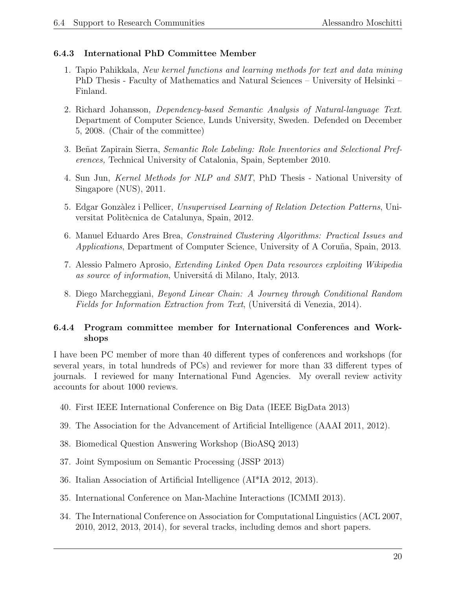## 6.4.3 International PhD Committee Member

- 1. Tapio Pahikkala, New kernel functions and learning methods for text and data mining PhD Thesis - Faculty of Mathematics and Natural Sciences – University of Helsinki – Finland.
- 2. Richard Johansson, Dependency-based Semantic Analysis of Natural-language Text. Department of Computer Science, Lunds University, Sweden. Defended on December 5, 2008. (Chair of the committee)
- 3. Beñat Zapirain Sierra, *Semantic Role Labeling: Role Inventories and Selectional Pref*erences, Technical University of Catalonia, Spain, September 2010.
- 4. Sun Jun, Kernel Methods for NLP and SMT, PhD Thesis National University of Singapore (NUS), 2011.
- 5. Edgar Gonzàlez i Pellicer, Unsupervised Learning of Relation Detection Patterns, Universitat Politècnica de Catalunya, Spain, 2012.
- 6. Manuel Eduardo Ares Brea, Constrained Clustering Algorithms: Practical Issues and Applications, Department of Computer Science, University of A Coruña, Spain, 2013.
- 7. Alessio Palmero Aprosio, Extending Linked Open Data resources exploiting Wikipedia as source of information, Universitá di Milano, Italy, 2013.
- 8. Diego Marcheggiani, Beyond Linear Chain: A Journey through Conditional Random Fields for Information Extraction from Text, (Universitá di Venezia, 2014).

## 6.4.4 Program committee member for International Conferences and Workshops

I have been PC member of more than 40 different types of conferences and workshops (for several years, in total hundreds of PCs) and reviewer for more than 33 different types of journals. I reviewed for many International Fund Agencies. My overall review activity accounts for about 1000 reviews.

- 40. First IEEE International Conference on Big Data (IEEE BigData 2013)
- 39. The Association for the Advancement of Artificial Intelligence (AAAI 2011, 2012).
- 38. Biomedical Question Answering Workshop (BioASQ 2013)
- 37. Joint Symposium on Semantic Processing (JSSP 2013)
- 36. Italian Association of Artificial Intelligence (AI\*IA 2012, 2013).
- 35. International Conference on Man-Machine Interactions (ICMMI 2013).
- 34. The International Conference on Association for Computational Linguistics (ACL 2007, 2010, 2012, 2013, 2014), for several tracks, including demos and short papers.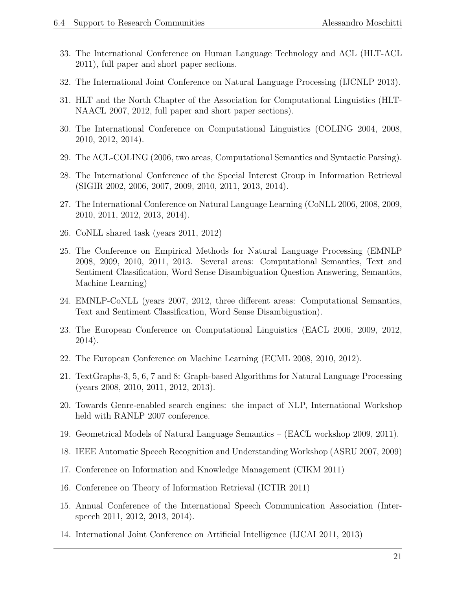- 33. The International Conference on Human Language Technology and ACL (HLT-ACL 2011), full paper and short paper sections.
- 32. The International Joint Conference on Natural Language Processing (IJCNLP 2013).
- 31. HLT and the North Chapter of the Association for Computational Linguistics (HLT-NAACL 2007, 2012, full paper and short paper sections).
- 30. The International Conference on Computational Linguistics (COLING 2004, 2008, 2010, 2012, 2014).
- 29. The ACL-COLING (2006, two areas, Computational Semantics and Syntactic Parsing).
- 28. The International Conference of the Special Interest Group in Information Retrieval (SIGIR 2002, 2006, 2007, 2009, 2010, 2011, 2013, 2014).
- 27. The International Conference on Natural Language Learning (CoNLL 2006, 2008, 2009, 2010, 2011, 2012, 2013, 2014).
- 26. CoNLL shared task (years 2011, 2012)
- 25. The Conference on Empirical Methods for Natural Language Processing (EMNLP 2008, 2009, 2010, 2011, 2013. Several areas: Computational Semantics, Text and Sentiment Classification, Word Sense Disambiguation Question Answering, Semantics, Machine Learning)
- 24. EMNLP-CoNLL (years 2007, 2012, three different areas: Computational Semantics, Text and Sentiment Classification, Word Sense Disambiguation).
- 23. The European Conference on Computational Linguistics (EACL 2006, 2009, 2012, 2014).
- 22. The European Conference on Machine Learning (ECML 2008, 2010, 2012).
- 21. TextGraphs-3, 5, 6, 7 and 8: Graph-based Algorithms for Natural Language Processing (years 2008, 2010, 2011, 2012, 2013).
- 20. Towards Genre-enabled search engines: the impact of NLP, International Workshop held with RANLP 2007 conference.
- 19. Geometrical Models of Natural Language Semantics (EACL workshop 2009, 2011).
- 18. IEEE Automatic Speech Recognition and Understanding Workshop (ASRU 2007, 2009)
- 17. Conference on Information and Knowledge Management (CIKM 2011)
- 16. Conference on Theory of Information Retrieval (ICTIR 2011)
- 15. Annual Conference of the International Speech Communication Association (Interspeech 2011, 2012, 2013, 2014).
- 14. International Joint Conference on Artificial Intelligence (IJCAI 2011, 2013)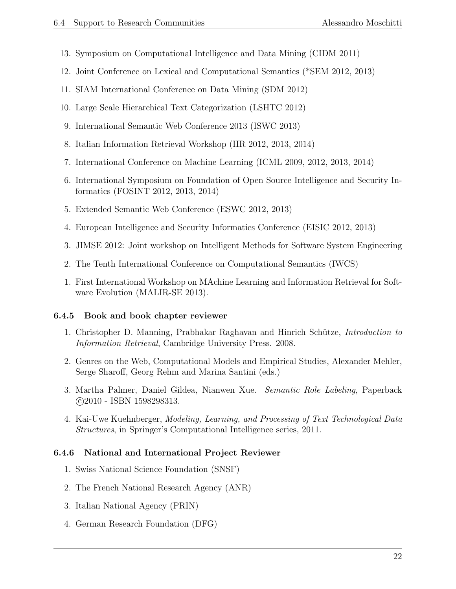- 13. Symposium on Computational Intelligence and Data Mining (CIDM 2011)
- 12. Joint Conference on Lexical and Computational Semantics (\*SEM 2012, 2013)
- 11. SIAM International Conference on Data Mining (SDM 2012)
- 10. Large Scale Hierarchical Text Categorization (LSHTC 2012)
- 9. International Semantic Web Conference 2013 (ISWC 2013)
- 8. Italian Information Retrieval Workshop (IIR 2012, 2013, 2014)
- 7. International Conference on Machine Learning (ICML 2009, 2012, 2013, 2014)
- 6. International Symposium on Foundation of Open Source Intelligence and Security Informatics (FOSINT 2012, 2013, 2014)
- 5. Extended Semantic Web Conference (ESWC 2012, 2013)
- 4. European Intelligence and Security Informatics Conference (EISIC 2012, 2013)
- 3. JIMSE 2012: Joint workshop on Intelligent Methods for Software System Engineering
- 2. The Tenth International Conference on Computational Semantics (IWCS)
- 1. First International Workshop on MAchine Learning and Information Retrieval for Software Evolution (MALIR-SE 2013).

#### 6.4.5 Book and book chapter reviewer

- 1. Christopher D. Manning, Prabhakar Raghavan and Hinrich Schütze, *Introduction to* Information Retrieval, Cambridge University Press. 2008.
- 2. Genres on the Web, Computational Models and Empirical Studies, Alexander Mehler, Serge Sharoff, Georg Rehm and Marina Santini (eds.)
- 3. Martha Palmer, Daniel Gildea, Nianwen Xue. Semantic Role Labeling, Paperback c 2010 - ISBN 1598298313.
- 4. Kai-Uwe Kuehnberger, Modeling, Learning, and Processing of Text Technological Data Structures, in Springer's Computational Intelligence series, 2011.

#### 6.4.6 National and International Project Reviewer

- 1. Swiss National Science Foundation (SNSF)
- 2. The French National Research Agency (ANR)
- 3. Italian National Agency (PRIN)
- 4. German Research Foundation (DFG)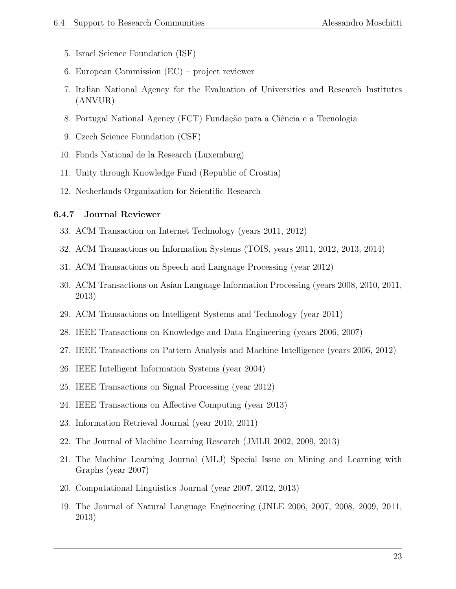- 5. Israel Science Foundation (ISF)
- 6. European Commission (EC) project reviewer
- 7. Italian National Agency for the Evaluation of Universities and Research Institutes (ANVUR)
- 8. Portugal National Agency (FCT) Fundação para a Ciência e a Tecnologia
- 9. Czech Science Foundation (CSF)
- 10. Fonds National de la Research (Luxemburg)
- 11. Unity through Knowledge Fund (Republic of Croatia)
- 12. Netherlands Organization for Scientific Research

#### 6.4.7 Journal Reviewer

- 33. ACM Transaction on Internet Technology (years 2011, 2012)
- 32. ACM Transactions on Information Systems (TOIS, years 2011, 2012, 2013, 2014)
- 31. ACM Transactions on Speech and Language Processing (year 2012)
- 30. ACM Transactions on Asian Language Information Processing (years 2008, 2010, 2011, 2013)
- 29. ACM Transactions on Intelligent Systems and Technology (year 2011)
- 28. IEEE Transactions on Knowledge and Data Engineering (years 2006, 2007)
- 27. IEEE Transactions on Pattern Analysis and Machine Intelligence (years 2006, 2012)
- 26. IEEE Intelligent Information Systems (year 2004)
- 25. IEEE Transactions on Signal Processing (year 2012)
- 24. IEEE Transactions on Affective Computing (year 2013)
- 23. Information Retrieval Journal (year 2010, 2011)
- 22. The Journal of Machine Learning Research (JMLR 2002, 2009, 2013)
- 21. The Machine Learning Journal (MLJ) Special Issue on Mining and Learning with Graphs (year 2007)
- 20. Computational Linguistics Journal (year 2007, 2012, 2013)
- 19. The Journal of Natural Language Engineering (JNLE 2006, 2007, 2008, 2009, 2011, 2013)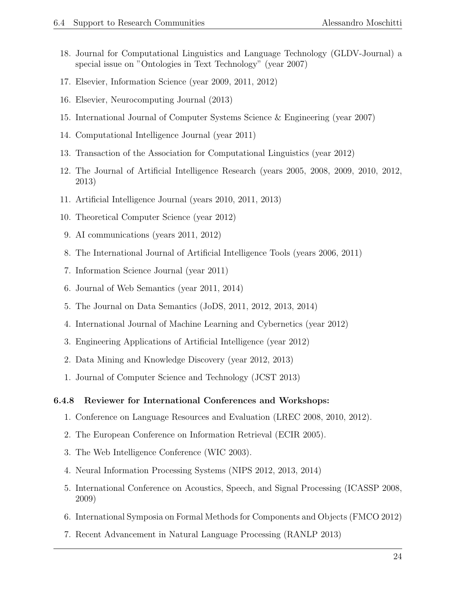- 18. Journal for Computational Linguistics and Language Technology (GLDV-Journal) a special issue on "Ontologies in Text Technology" (year 2007)
- 17. Elsevier, Information Science (year 2009, 2011, 2012)
- 16. Elsevier, Neurocomputing Journal (2013)
- 15. International Journal of Computer Systems Science & Engineering (year 2007)
- 14. Computational Intelligence Journal (year 2011)
- 13. Transaction of the Association for Computational Linguistics (year 2012)
- 12. The Journal of Artificial Intelligence Research (years 2005, 2008, 2009, 2010, 2012, 2013)
- 11. Artificial Intelligence Journal (years 2010, 2011, 2013)
- 10. Theoretical Computer Science (year 2012)
- 9. AI communications (years 2011, 2012)
- 8. The International Journal of Artificial Intelligence Tools (years 2006, 2011)
- 7. Information Science Journal (year 2011)
- 6. Journal of Web Semantics (year 2011, 2014)
- 5. The Journal on Data Semantics (JoDS, 2011, 2012, 2013, 2014)
- 4. International Journal of Machine Learning and Cybernetics (year 2012)
- 3. Engineering Applications of Artificial Intelligence (year 2012)
- 2. Data Mining and Knowledge Discovery (year 2012, 2013)
- 1. Journal of Computer Science and Technology (JCST 2013)

#### 6.4.8 Reviewer for International Conferences and Workshops:

- 1. Conference on Language Resources and Evaluation (LREC 2008, 2010, 2012).
- 2. The European Conference on Information Retrieval (ECIR 2005).
- 3. The Web Intelligence Conference (WIC 2003).
- 4. Neural Information Processing Systems (NIPS 2012, 2013, 2014)
- 5. International Conference on Acoustics, Speech, and Signal Processing (ICASSP 2008, 2009)
- 6. International Symposia on Formal Methods for Components and Objects (FMCO 2012)
- 7. Recent Advancement in Natural Language Processing (RANLP 2013)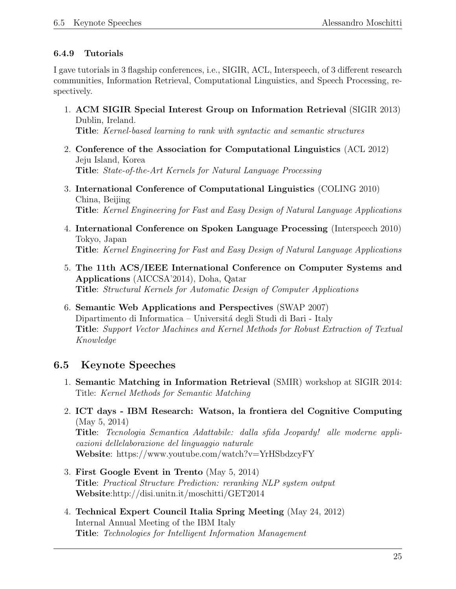## 6.4.9 Tutorials

I gave tutorials in 3 flagship conferences, i.e., SIGIR, ACL, Interspeech, of 3 different research communities, Information Retrieval, Computational Linguistics, and Speech Processing, respectively.

- 1. ACM SIGIR Special Interest Group on Information Retrieval (SIGIR 2013) Dublin, Ireland. Title: Kernel-based learning to rank with syntactic and semantic structures
- 2. Conference of the Association for Computational Linguistics (ACL 2012) Jeju Island, Korea Title: State-of-the-Art Kernels for Natural Language Processing
- 3. International Conference of Computational Linguistics (COLING 2010) China, Beijing Title: Kernel Engineering for Fast and Easy Design of Natural Language Applications
- 4. International Conference on Spoken Language Processing (Interspeech 2010) Tokyo, Japan Title: Kernel Engineering for Fast and Easy Design of Natural Language Applications
- 5. The 11th ACS/IEEE International Conference on Computer Systems and Applications (AICCSA'2014), Doha, Qatar Title: Structural Kernels for Automatic Design of Computer Applications
- 6. Semantic Web Applications and Perspectives (SWAP 2007) Dipartimento di Informatica – Universitá degli Studi di Bari - Italy Title: Support Vector Machines and Kernel Methods for Robust Extraction of Textual Knowledge

# 6.5 Keynote Speeches

- 1. Semantic Matching in Information Retrieval (SMIR) workshop at SIGIR 2014: Title: Kernel Methods for Semantic Matching
- 2. ICT days IBM Research: Watson, la frontiera del Cognitive Computing (May 5, 2014) Title: Tecnologia Semantica Adattabile: dalla sfida Jeopardy! alle moderne applicazioni dellelaborazione del linguaggio naturale Website: https://www.youtube.com/watch?v=YrHSbdzcyFY
- 3. First Google Event in Trento (May 5, 2014) Title: Practical Structure Prediction: reranking NLP system output Website:http://disi.unitn.it/moschitti/GET2014
- 4. Technical Expert Council Italia Spring Meeting (May 24, 2012) Internal Annual Meeting of the IBM Italy Title: Technologies for Intelligent Information Management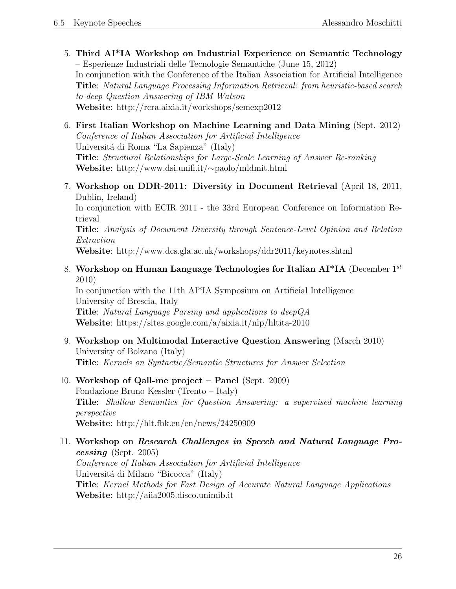- 5. Third AI\*IA Workshop on Industrial Experience on Semantic Technology – Esperienze Industriali delle Tecnologie Semantiche (June 15, 2012) In conjunction with the Conference of the Italian Association for Artificial Intelligence Title: Natural Language Processing Information Retrieval: from heuristic-based search to deep Question Answering of IBM Watson Website: http://rcra.aixia.it/workshops/semexp2012
- 6. First Italian Workshop on Machine Learning and Data Mining (Sept. 2012) Conference of Italian Association for Artificial Intelligence Universitá di Roma "La Sapienza" (Italy) Title: Structural Relationships for Large-Scale Learning of Answer Re-ranking Website: http://www.dsi.unifi.it/∼paolo/mldmit.html
- 7. Workshop on DDR-2011: Diversity in Document Retrieval (April 18, 2011, Dublin, Ireland)

In conjunction with ECIR 2011 - the 33rd European Conference on Information Retrieval

Title: Analysis of Document Diversity through Sentence-Level Opinion and Relation Extraction

Website: http://www.dcs.gla.ac.uk/workshops/ddr2011/keynotes.shtml

8. Workshop on Human Language Technologies for Italian  $\mathbf{AI}^* \mathbf{IA}$  (December 1st) 2010)

In conjunction with the 11th AI\*IA Symposium on Artificial Intelligence University of Brescia, Italy Title: Natural Language Parsing and applications to deepQA Website: https://sites.google.com/a/aixia.it/nlp/hltita-2010

- 9. Workshop on Multimodal Interactive Question Answering (March 2010) University of Bolzano (Italy) Title: Kernels on Syntactic/Semantic Structures for Answer Selection
- 10. Workshop of Qall-me project Panel (Sept. 2009) Fondazione Bruno Kessler (Trento – Italy) Title: Shallow Semantics for Question Answering: a supervised machine learning perspective Website: http://hlt.fbk.eu/en/news/24250909
- 11. Workshop on Research Challenges in Speech and Natural Language Processing (Sept. 2005) Conference of Italian Association for Artificial Intelligence Universitá di Milano "Bicocca" (Italy) Title: Kernel Methods for Fast Design of Accurate Natural Language Applications Website: http://aiia2005.disco.unimib.it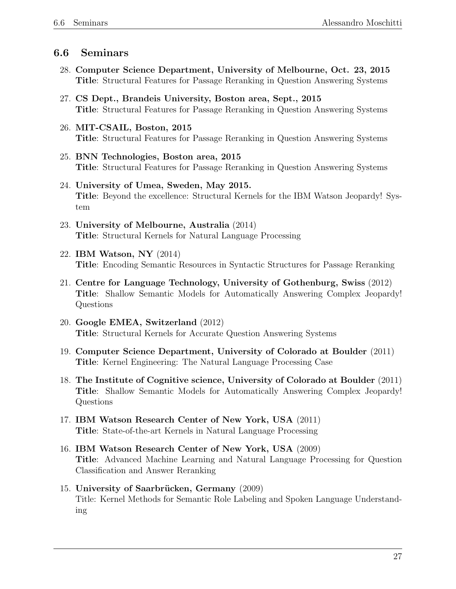## 6.6 Seminars

- 28. Computer Science Department, University of Melbourne, Oct. 23, 2015 Title: Structural Features for Passage Reranking in Question Answering Systems
- 27. CS Dept., Brandeis University, Boston area, Sept., 2015 Title: Structural Features for Passage Reranking in Question Answering Systems
- 26. MIT-CSAIL, Boston, 2015 Title: Structural Features for Passage Reranking in Question Answering Systems
- 25. BNN Technologies, Boston area, 2015 Title: Structural Features for Passage Reranking in Question Answering Systems
- 24. University of Umea, Sweden, May 2015. Title: Beyond the excellence: Structural Kernels for the IBM Watson Jeopardy! System
- 23. University of Melbourne, Australia (2014) Title: Structural Kernels for Natural Language Processing
- 22. IBM Watson, NY (2014) Title: Encoding Semantic Resources in Syntactic Structures for Passage Reranking
- 21. Centre for Language Technology, University of Gothenburg, Swiss (2012) Title: Shallow Semantic Models for Automatically Answering Complex Jeopardy! Questions
- 20. Google EMEA, Switzerland (2012) Title: Structural Kernels for Accurate Question Answering Systems
- 19. Computer Science Department, University of Colorado at Boulder (2011) Title: Kernel Engineering: The Natural Language Processing Case
- 18. The Institute of Cognitive science, University of Colorado at Boulder (2011) Title: Shallow Semantic Models for Automatically Answering Complex Jeopardy! Questions
- 17. IBM Watson Research Center of New York, USA (2011) Title: State-of-the-art Kernels in Natural Language Processing
- 16. IBM Watson Research Center of New York, USA (2009) Title: Advanced Machine Learning and Natural Language Processing for Question Classification and Answer Reranking
- 15. University of Saarbrücken, Germany (2009) Title: Kernel Methods for Semantic Role Labeling and Spoken Language Understanding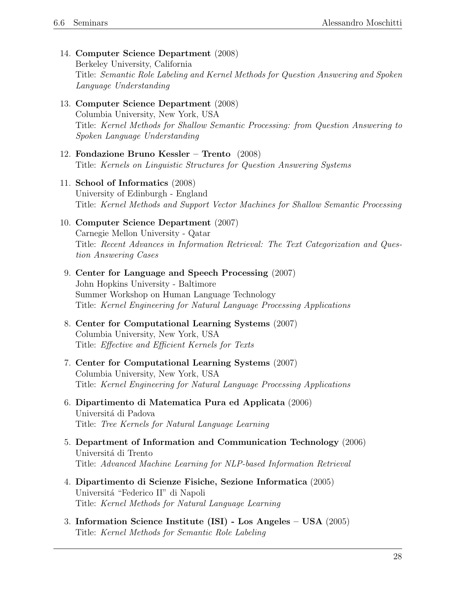14. Computer Science Department (2008)

Berkeley University, California Title: Semantic Role Labeling and Kernel Methods for Question Answering and Spoken Language Understanding

- 13. Computer Science Department (2008) Columbia University, New York, USA Title: Kernel Methods for Shallow Semantic Processing: from Question Answering to Spoken Language Understanding
- 12. Fondazione Bruno Kessler Trento (2008) Title: Kernels on Linguistic Structures for Question Answering Systems
- 11. School of Informatics (2008) University of Edinburgh - England Title: Kernel Methods and Support Vector Machines for Shallow Semantic Processing

#### 10. Computer Science Department (2007)

Carnegie Mellon University - Qatar Title: Recent Advances in Information Retrieval: The Text Categorization and Question Answering Cases

- 9. Center for Language and Speech Processing (2007) John Hopkins University - Baltimore Summer Workshop on Human Language Technology Title: Kernel Engineering for Natural Language Processing Applications
- 8. Center for Computational Learning Systems (2007) Columbia University, New York, USA Title: Effective and Efficient Kernels for Texts
- 7. Center for Computational Learning Systems (2007) Columbia University, New York, USA Title: Kernel Engineering for Natural Language Processing Applications
- 6. Dipartimento di Matematica Pura ed Applicata (2006) Universitá di Padova Title: Tree Kernels for Natural Language Learning
- 5. Department of Information and Communication Technology (2006) Universitá di Trento Title: Advanced Machine Learning for NLP-based Information Retrieval
- 4. Dipartimento di Scienze Fisiche, Sezione Informatica (2005) Universitá "Federico II" di Napoli Title: Kernel Methods for Natural Language Learning
- 3. Information Science Institute (ISI) Los Angeles USA (2005) Title: Kernel Methods for Semantic Role Labeling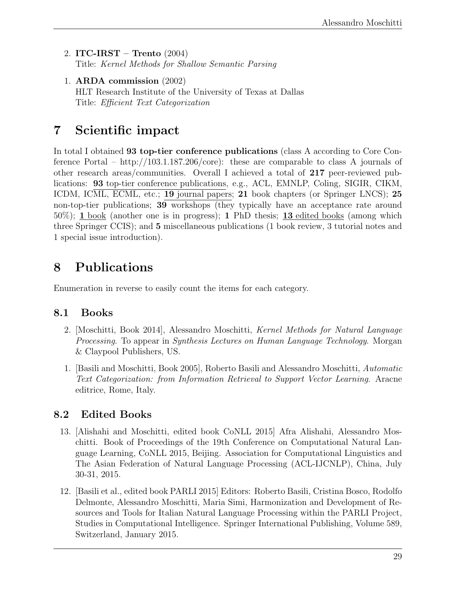- 2. ITC-IRST Trento (2004) Title: Kernel Methods for Shallow Semantic Parsing
- 1. ARDA commission (2002) HLT Research Institute of the University of Texas at Dallas Title: Efficient Text Categorization

# 7 Scientific impact

In total I obtained 93 top-tier conference publications (class A according to Core Conference Portal – http://103.1.187.206/core): these are comparable to class A journals of other research areas/communities. Overall I achieved a total of 217 peer-reviewed publications: 93 top-tier conference publications, e.g., ACL, EMNLP, Coling, SIGIR, CIKM, ICDM, ICML, ECML, etc.; 19 journal papers; 21 book chapters (or Springer LNCS); 25 non-top-tier publications; 39 workshops (they typically have an acceptance rate around 50%); 1 book (another one is in progress); 1 PhD thesis; 13 edited books (among which three Springer CCIS); and 5 miscellaneous publications (1 book review, 3 tutorial notes and 1 special issue introduction).

# 8 Publications

Enumeration in reverse to easily count the items for each category.

# 8.1 Books

- 2. [Moschitti, Book 2014], Alessandro Moschitti, Kernel Methods for Natural Language Processing. To appear in Synthesis Lectures on Human Language Technology. Morgan & Claypool Publishers, US.
- 1. [Basili and Moschitti, Book 2005], Roberto Basili and Alessandro Moschitti, Automatic Text Categorization: from Information Retrieval to Support Vector Learning. Aracne editrice, Rome, Italy.

# 8.2 Edited Books

- 13. [Alishahi and Moschitti, edited book CoNLL 2015] Afra Alishahi, Alessandro Moschitti. Book of Proceedings of the 19th Conference on Computational Natural Language Learning, CoNLL 2015, Beijing. Association for Computational Linguistics and The Asian Federation of Natural Language Processing (ACL-IJCNLP), China, July 30-31, 2015.
- 12. [Basili et al., edited book PARLI 2015] Editors: Roberto Basili, Cristina Bosco, Rodolfo Delmonte, Alessandro Moschitti, Maria Simi, Harmonization and Development of Resources and Tools for Italian Natural Language Processing within the PARLI Project, Studies in Computational Intelligence. Springer International Publishing, Volume 589, Switzerland, January 2015.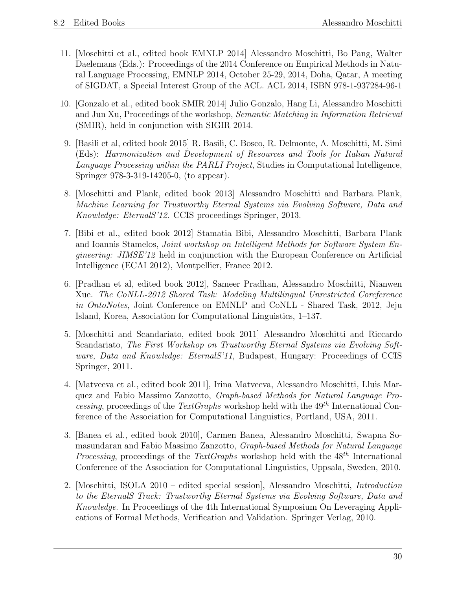- 11. [Moschitti et al., edited book EMNLP 2014] Alessandro Moschitti, Bo Pang, Walter Daelemans (Eds.): Proceedings of the 2014 Conference on Empirical Methods in Natural Language Processing, EMNLP 2014, October 25-29, 2014, Doha, Qatar, A meeting of SIGDAT, a Special Interest Group of the ACL. ACL 2014, ISBN 978-1-937284-96-1
- 10. [Gonzalo et al., edited book SMIR 2014] Julio Gonzalo, Hang Li, Alessandro Moschitti and Jun Xu, Proceedings of the workshop, Semantic Matching in Information Retrieval (SMIR), held in conjunction with SIGIR 2014.
- 9. [Basili et al, edited book 2015] R. Basili, C. Bosco, R. Delmonte, A. Moschitti, M. Simi (Eds): Harmonization and Development of Resources and Tools for Italian Natural Language Processing within the PARLI Project, Studies in Computational Intelligence, Springer 978-3-319-14205-0, (to appear).
- 8. [Moschitti and Plank, edited book 2013] Alessandro Moschitti and Barbara Plank, Machine Learning for Trustworthy Eternal Systems via Evolving Software, Data and Knowledge: EternalS'12. CCIS proceedings Springer, 2013.
- 7. [Bibi et al., edited book 2012] Stamatia Bibi, Alessandro Moschitti, Barbara Plank and Ioannis Stamelos, Joint workshop on Intelligent Methods for Software System En*gineering: JIMSE'12* held in conjunction with the European Conference on Artificial Intelligence (ECAI 2012), Montpellier, France 2012.
- 6. [Pradhan et al, edited book 2012], Sameer Pradhan, Alessandro Moschitti, Nianwen Xue. The CoNLL-2012 Shared Task: Modeling Multilingual Unrestricted Coreference in OntoNotes, Joint Conference on EMNLP and CoNLL - Shared Task, 2012, Jeju Island, Korea, Association for Computational Linguistics, 1–137.
- 5. [Moschitti and Scandariato, edited book 2011] Alessandro Moschitti and Riccardo Scandariato, The First Workshop on Trustworthy Eternal Systems via Evolving Software, Data and Knowledge: EternalS'11, Budapest, Hungary: Proceedings of CCIS Springer, 2011.
- 4. [Matveeva et al., edited book 2011], Irina Matveeva, Alessandro Moschitti, Lluis Marquez and Fabio Massimo Zanzotto, Graph-based Methods for Natural Language Processing, proceedings of the TextGraphs workshop held with the  $49^{th}$  International Conference of the Association for Computational Linguistics, Portland, USA, 2011.
- 3. [Banea et al., edited book 2010], Carmen Banea, Alessandro Moschitti, Swapna Somasundaran and Fabio Massimo Zanzotto, Graph-based Methods for Natural Language *Processing*, proceedings of the TextGraphs workshop held with the  $48^{th}$  International Conference of the Association for Computational Linguistics, Uppsala, Sweden, 2010.
- 2. [Moschitti, ISOLA 2010 edited special session], Alessandro Moschitti, Introduction to the EternalS Track: Trustworthy Eternal Systems via Evolving Software, Data and Knowledge. In Proceedings of the 4th International Symposium On Leveraging Applications of Formal Methods, Verification and Validation. Springer Verlag, 2010.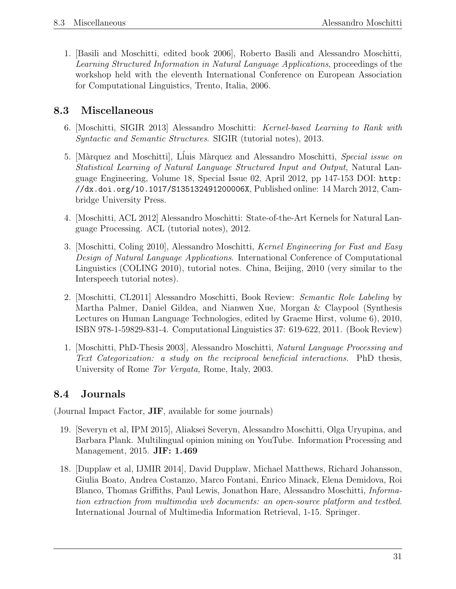1. [Basili and Moschitti, edited book 2006], Roberto Basili and Alessandro Moschitti, Learning Structured Information in Natural Language Applications, proceedings of the workshop held with the eleventh International Conference on European Association for Computational Linguistics, Trento, Italia, 2006.

# 8.3 Miscellaneous

- 6. [Moschitti, SIGIR 2013] Alessandro Moschitti: Kernel-based Learning to Rank with Syntactic and Semantic Structures. SIGIR (tutorial notes), 2013.
- 5. [Màrquez and Moschitti], Lluis Màrquez and Alessandro Moschitti, Special issue on Statistical Learning of Natural Language Structured Input and Output, Natural Language Engineering, Volume 18, Special Issue 02, April 2012, pp 147-153 DOI: http: //dx.doi.org/10.1017/S135132491200006X, Published online: 14 March 2012, Cambridge University Press.
- 4. [Moschitti, ACL 2012] Alessandro Moschitti: State-of-the-Art Kernels for Natural Language Processing. ACL (tutorial notes), 2012.
- 3. [Moschitti, Coling 2010], Alessandro Moschitti, Kernel Engineering for Fast and Easy Design of Natural Language Applications. International Conference of Computational Linguistics (COLING 2010), tutorial notes. China, Beijing, 2010 (very similar to the Interspeech tutorial notes).
- 2. [Moschitti, CL2011] Alessandro Moschitti, Book Review: Semantic Role Labeling by Martha Palmer, Daniel Gildea, and Nianwen Xue, Morgan & Claypool (Synthesis Lectures on Human Language Technologies, edited by Graeme Hirst, volume 6), 2010, ISBN 978-1-59829-831-4. Computational Linguistics 37: 619-622, 2011. (Book Review)
- 1. [Moschitti, PhD-Thesis 2003], Alessandro Moschitti, Natural Language Processing and Text Categorization: a study on the reciprocal beneficial interactions. PhD thesis, University of Rome Tor Vergata, Rome, Italy, 2003.

# 8.4 Journals

(Journal Impact Factor, JIF, available for some journals)

- 19. [Severyn et al, IPM 2015], Aliaksei Severyn, Alessandro Moschitti, Olga Uryupina, and Barbara Plank. Multilingual opinion mining on YouTube. Information Processing and Management, 2015. JIF: 1.469
- 18. [Dupplaw et al, IJMIR 2014], David Dupplaw, Michael Matthews, Richard Johansson, Giulia Boato, Andrea Costanzo, Marco Fontani, Enrico Minack, Elena Demidova, Roi Blanco, Thomas Griffiths, Paul Lewis, Jonathon Hare, Alessandro Moschitti, Information extraction from multimedia web documents: an open-source platform and testbed. International Journal of Multimedia Information Retrieval, 1-15. Springer.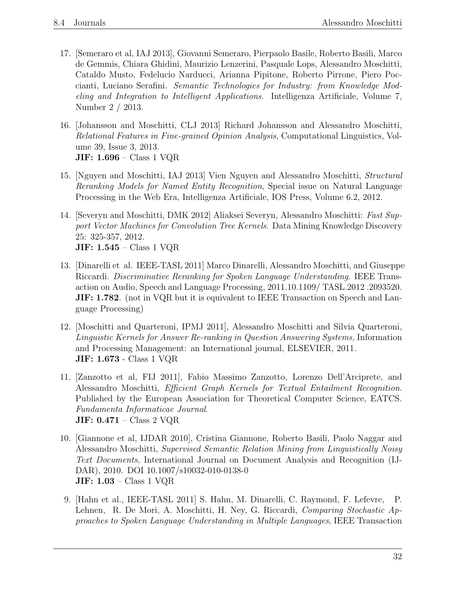- 17. [Semeraro et al, IAJ 2013], Giovanni Semeraro, Pierpaolo Basile, Roberto Basili, Marco de Gemmis, Chiara Ghidini, Maurizio Lenzerini, Pasquale Lops, Alessandro Moschitti, Cataldo Musto, Fedelucio Narducci, Arianna Pipitone, Roberto Pirrone, Piero Poccianti, Luciano Serafini. Semantic Technologies for Industry: from Knowledge Modeling and Integration to Intelligent Applications. Intelligenza Artificiale, Volume 7, Number 2 / 2013.
- 16. [Johansson and Moschitti, CLJ 2013] Richard Johansson and Alessandro Moschitti, Relational Features in Fine-grained Opinion Analysis, Computational Linguistics, Volume 39, Issue 3, 2013. JIF: 1.696 – Class 1 VQR
- 15. [Nguyen and Moschitti, IAJ 2013] Vien Nguyen and Alessandro Moschitti, Structural Reranking Models for Named Entity Recognition, Special issue on Natural Language Processing in the Web Era, Intelligenza Artificiale, IOS Press, Volume 6.2, 2012.
- 14. [Severyn and Moschitti, DMK 2012] Aliaksei Severyn, Alessandro Moschitti: Fast Support Vector Machines for Convolution Tree Kernels. Data Mining Knowledge Discovery 25: 325-357, 2012. JIF: 1.545 – Class 1 VQR
- 13. [Dinarelli et al. IEEE-TASL 2011] Marco Dinarelli, Alessandro Moschitti, and Giuseppe Riccardi. Discriminative Reranking for Spoken Language Understanding. IEEE Transaction on Audio, Speech and Language Processing, 2011.10.1109/ TASL.2012 .2093520. **JIF: 1.782.** (not in VQR but it is equivalent to IEEE Transaction on Speech and Language Processing)
- 12. [Moschitti and Quarteroni, IPMJ 2011], Alessandro Moschitti and Silvia Quarteroni, Linguistic Kernels for Answer Re-ranking in Question Answering Systems, Information and Processing Management: an International journal, ELSEVIER, 2011. JIF: 1.673 - Class 1 VQR
- 11. [Zanzotto et al, FIJ 2011], Fabio Massimo Zanzotto, Lorenzo Dell'Arciprete, and Alessandro Moschitti, Efficient Graph Kernels for Textual Entailment Recognition. Published by the European Association for Theoretical Computer Science, EATCS. Fundamenta Informaticae Journal. JIF:  $0.471$  – Class 2 VQR
- 10. [Giannone et al, IJDAR 2010], Cristina Giannone, Roberto Basili, Paolo Naggar and Alessandro Moschitti, Supervised Semantic Relation Mining from Linguistically Noisy Text Documents, International Journal on Document Analysis and Recognition (IJ-DAR), 2010. DOI 10.1007/s10032-010-0138-0 JIF: 1.03 – Class 1 VQR
- 9. [Hahn et al., IEEE-TASL 2011] S. Hahn, M. Dinarelli, C. Raymond, F. Lefevre, P. Lehnen, R. De Mori, A. Moschitti, H. Ney, G. Riccardi, Comparing Stochastic Approaches to Spoken Language Understanding in Multiple Languages, IEEE Transaction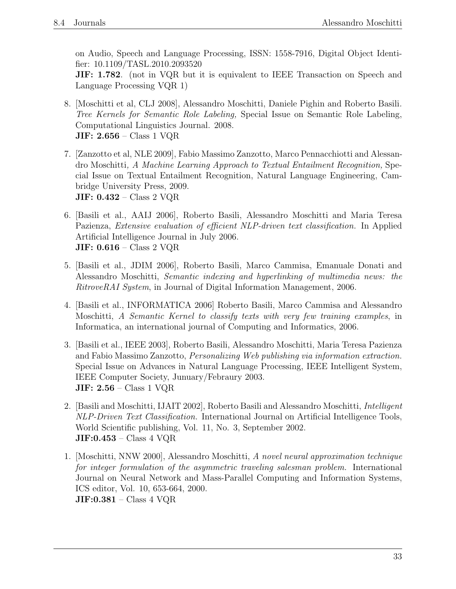on Audio, Speech and Language Processing, ISSN: 1558-7916, Digital Object Identifier: 10.1109/TASL.2010.2093520

**JIF: 1.782.** (not in VQR but it is equivalent to IEEE Transaction on Speech and Language Processing VQR 1)

- 8. [Moschitti et al, CLJ 2008], Alessandro Moschitti, Daniele Pighin and Roberto Basili. Tree Kernels for Semantic Role Labeling, Special Issue on Semantic Role Labeling, Computational Linguistics Journal. 2008. **JIF: 2.656** – Class 1 VQR
- 7. [Zanzotto et al, NLE 2009], Fabio Massimo Zanzotto, Marco Pennacchiotti and Alessandro Moschitti, A Machine Learning Approach to Textual Entailment Recognition, Special Issue on Textual Entailment Recognition, Natural Language Engineering, Cambridge University Press, 2009. JIF: 0.432 – Class 2 VQR
- 6. [Basili et al., AAIJ 2006], Roberto Basili, Alessandro Moschitti and Maria Teresa Pazienza, Extensive evaluation of efficient NLP-driven text classification. In Applied Artificial Intelligence Journal in July 2006. JIF: 0.616 – Class 2 VQR
- 5. [Basili et al., JDIM 2006], Roberto Basili, Marco Cammisa, Emanuale Donati and Alessandro Moschitti, Semantic indexing and hyperlinking of multimedia news: the RitroveRAI System, in Journal of Digital Information Management, 2006.
- 4. [Basili et al., INFORMATICA 2006] Roberto Basili, Marco Cammisa and Alessandro Moschitti, A Semantic Kernel to classify texts with very few training examples, in Informatica, an international journal of Computing and Informatics, 2006.
- 3. [Basili et al., IEEE 2003], Roberto Basili, Alessandro Moschitti, Maria Teresa Pazienza and Fabio Massimo Zanzotto, Personalizing Web publishing via information extraction. Special Issue on Advances in Natural Language Processing, IEEE Intelligent System, IEEE Computer Society, Junuary/Febraury 2003. JIF: 2.56 – Class 1 VQR
- 2. [Basili and Moschitti, IJAIT 2002], Roberto Basili and Alessandro Moschitti, Intelligent NLP-Driven Text Classification. International Journal on Artificial Intelligence Tools, World Scientific publishing, Vol. 11, No. 3, September 2002. JIF:0.453 – Class 4 VQR
- 1. [Moschitti, NNW 2000], Alessandro Moschitti, A novel neural approximation technique for integer formulation of the asymmetric traveling salesman problem. International Journal on Neural Network and Mass-Parallel Computing and Information Systems, ICS editor, Vol. 10, 653-664, 2000. JIF:0.381 – Class 4 VQR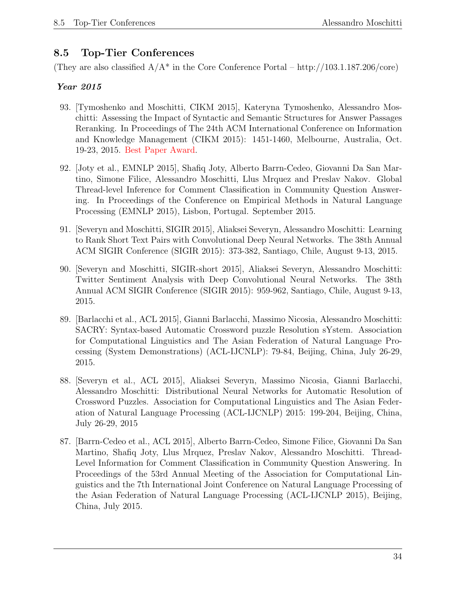# 8.5 Top-Tier Conferences

(They are also classified  $A/A^*$  in the Core Conference Portal – http://103.1.187.206/core)

- 93. [Tymoshenko and Moschitti, CIKM 2015], Kateryna Tymoshenko, Alessandro Moschitti: Assessing the Impact of Syntactic and Semantic Structures for Answer Passages Reranking. In Proceedings of The 24th ACM International Conference on Information and Knowledge Management (CIKM 2015): 1451-1460, Melbourne, Australia, Oct. 19-23, 2015. Best Paper Award.
- 92. [Joty et al., EMNLP 2015], Shafiq Joty, Alberto Barrn-Cedeo, Giovanni Da San Martino, Simone Filice, Alessandro Moschitti, Llus Mrquez and Preslav Nakov. Global Thread-level Inference for Comment Classification in Community Question Answering. In Proceedings of the Conference on Empirical Methods in Natural Language Processing (EMNLP 2015), Lisbon, Portugal. September 2015.
- 91. [Severyn and Moschitti, SIGIR 2015], Aliaksei Severyn, Alessandro Moschitti: Learning to Rank Short Text Pairs with Convolutional Deep Neural Networks. The 38th Annual ACM SIGIR Conference (SIGIR 2015): 373-382, Santiago, Chile, August 9-13, 2015.
- 90. [Severyn and Moschitti, SIGIR-short 2015], Aliaksei Severyn, Alessandro Moschitti: Twitter Sentiment Analysis with Deep Convolutional Neural Networks. The 38th Annual ACM SIGIR Conference (SIGIR 2015): 959-962, Santiago, Chile, August 9-13, 2015.
- 89. [Barlacchi et al., ACL 2015], Gianni Barlacchi, Massimo Nicosia, Alessandro Moschitti: SACRY: Syntax-based Automatic Crossword puzzle Resolution sYstem. Association for Computational Linguistics and The Asian Federation of Natural Language Processing (System Demonstrations) (ACL-IJCNLP): 79-84, Beijing, China, July 26-29, 2015.
- 88. [Severyn et al., ACL 2015], Aliaksei Severyn, Massimo Nicosia, Gianni Barlacchi, Alessandro Moschitti: Distributional Neural Networks for Automatic Resolution of Crossword Puzzles. Association for Computational Linguistics and The Asian Federation of Natural Language Processing (ACL-IJCNLP) 2015: 199-204, Beijing, China, July 26-29, 2015
- 87. [Barrn-Cedeo et al., ACL 2015], Alberto Barrn-Cedeo, Simone Filice, Giovanni Da San Martino, Shafiq Joty, Llus Mrquez, Preslav Nakov, Alessandro Moschitti. Thread-Level Information for Comment Classification in Community Question Answering. In Proceedings of the 53rd Annual Meeting of the Association for Computational Linguistics and the 7th International Joint Conference on Natural Language Processing of the Asian Federation of Natural Language Processing (ACL-IJCNLP 2015), Beijing, China, July 2015.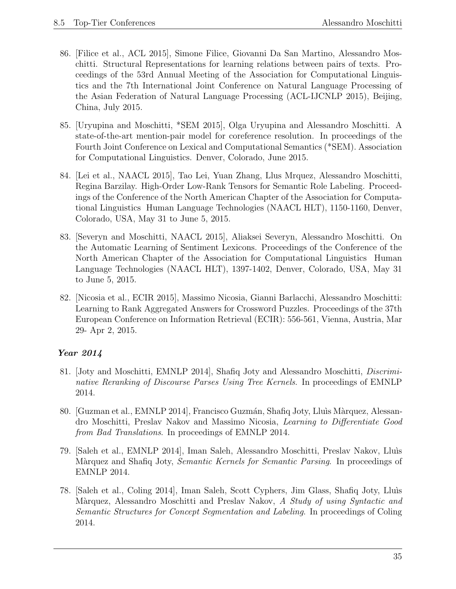- 86. [Filice et al., ACL 2015], Simone Filice, Giovanni Da San Martino, Alessandro Moschitti. Structural Representations for learning relations between pairs of texts. Proceedings of the 53rd Annual Meeting of the Association for Computational Linguistics and the 7th International Joint Conference on Natural Language Processing of the Asian Federation of Natural Language Processing (ACL-IJCNLP 2015), Beijing, China, July 2015.
- 85. [Uryupina and Moschitti, \*SEM 2015], Olga Uryupina and Alessandro Moschitti. A state-of-the-art mention-pair model for coreference resolution. In proceedings of the Fourth Joint Conference on Lexical and Computational Semantics (\*SEM). Association for Computational Linguistics. Denver, Colorado, June 2015.
- 84. [Lei et al., NAACL 2015], Tao Lei, Yuan Zhang, Llus Mrquez, Alessandro Moschitti, Regina Barzilay. High-Order Low-Rank Tensors for Semantic Role Labeling. Proceedings of the Conference of the North American Chapter of the Association for Computational Linguistics Human Language Technologies (NAACL HLT), 1150-1160, Denver, Colorado, USA, May 31 to June 5, 2015.
- 83. [Severyn and Moschitti, NAACL 2015], Aliaksei Severyn, Alessandro Moschitti. On the Automatic Learning of Sentiment Lexicons. Proceedings of the Conference of the North American Chapter of the Association for Computational Linguistics Human Language Technologies (NAACL HLT), 1397-1402, Denver, Colorado, USA, May 31 to June 5, 2015.
- 82. [Nicosia et al., ECIR 2015], Massimo Nicosia, Gianni Barlacchi, Alessandro Moschitti: Learning to Rank Aggregated Answers for Crossword Puzzles. Proceedings of the 37th European Conference on Information Retrieval (ECIR): 556-561, Vienna, Austria, Mar 29- Apr 2, 2015.

- 81. [Joty and Moschitti, EMNLP 2014], Shafiq Joty and Alessandro Moschitti, Discriminative Reranking of Discourse Parses Using Tree Kernels. In proceedings of EMNLP 2014.
- 80. [Guzman et al., EMNLP 2014], Francisco Guzmán, Shafiq Joty, Lluis Màrquez, Alessandro Moschitti, Preslav Nakov and Massimo Nicosia, Learning to Differentiate Good from Bad Translations. In proceedings of EMNLP 2014.
- 79. [Saleh et al., EMNLP 2014], Iman Saleh, Alessandro Moschitti, Preslav Nakov, Llu`ıs Màrquez and Shafiq Joty, Semantic Kernels for Semantic Parsing. In proceedings of EMNLP 2014.
- 78. [Saleh et al., Coling 2014], Iman Saleh, Scott Cyphers, Jim Glass, Shafiq Joty, Llu`ıs Marquez, Alessandro Moschitti and Preslav Nakov, A Study of using Syntactic and Semantic Structures for Concept Segmentation and Labeling. In proceedings of Coling 2014.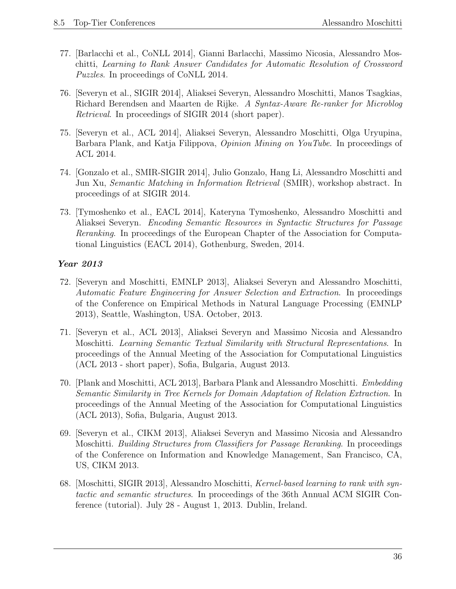- 77. [Barlacchi et al., CoNLL 2014], Gianni Barlacchi, Massimo Nicosia, Alessandro Moschitti, Learning to Rank Answer Candidates for Automatic Resolution of Crossword Puzzles. In proceedings of CoNLL 2014.
- 76. [Severyn et al., SIGIR 2014], Aliaksei Severyn, Alessandro Moschitti, Manos Tsagkias, Richard Berendsen and Maarten de Rijke. A Syntax-Aware Re-ranker for Microblog Retrieval. In proceedings of SIGIR 2014 (short paper).
- 75. [Severyn et al., ACL 2014], Aliaksei Severyn, Alessandro Moschitti, Olga Uryupina, Barbara Plank, and Katja Filippova, Opinion Mining on YouTube. In proceedings of ACL 2014.
- 74. [Gonzalo et al., SMIR-SIGIR 2014], Julio Gonzalo, Hang Li, Alessandro Moschitti and Jun Xu, Semantic Matching in Information Retrieval (SMIR), workshop abstract. In proceedings of at SIGIR 2014.
- 73. [Tymoshenko et al., EACL 2014], Kateryna Tymoshenko, Alessandro Moschitti and Aliaksei Severyn. Encoding Semantic Resources in Syntactic Structures for Passage Reranking. In proceedings of the European Chapter of the Association for Computational Linguistics (EACL 2014), Gothenburg, Sweden, 2014.

- 72. [Severyn and Moschitti, EMNLP 2013], Aliaksei Severyn and Alessandro Moschitti, Automatic Feature Engineering for Answer Selection and Extraction. In proceedings of the Conference on Empirical Methods in Natural Language Processing (EMNLP 2013), Seattle, Washington, USA. October, 2013.
- 71. [Severyn et al., ACL 2013], Aliaksei Severyn and Massimo Nicosia and Alessandro Moschitti. Learning Semantic Textual Similarity with Structural Representations. In proceedings of the Annual Meeting of the Association for Computational Linguistics (ACL 2013 - short paper), Sofia, Bulgaria, August 2013.
- 70. [Plank and Moschitti, ACL 2013], Barbara Plank and Alessandro Moschitti. Embedding Semantic Similarity in Tree Kernels for Domain Adaptation of Relation Extraction. In proceedings of the Annual Meeting of the Association for Computational Linguistics (ACL 2013), Sofia, Bulgaria, August 2013.
- 69. [Severyn et al., CIKM 2013], Aliaksei Severyn and Massimo Nicosia and Alessandro Moschitti. Building Structures from Classifiers for Passage Reranking. In proceedings of the Conference on Information and Knowledge Management, San Francisco, CA, US, CIKM 2013.
- 68. [Moschitti, SIGIR 2013], Alessandro Moschitti, Kernel-based learning to rank with syntactic and semantic structures. In proceedings of the 36th Annual ACM SIGIR Conference (tutorial). July 28 - August 1, 2013. Dublin, Ireland.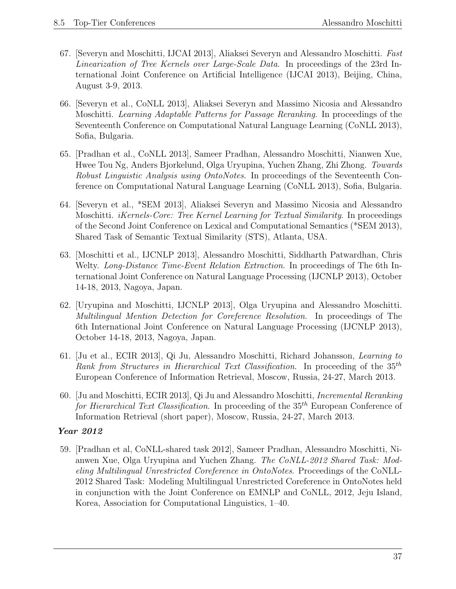- 67. [Severyn and Moschitti, IJCAI 2013], Aliaksei Severyn and Alessandro Moschitti. Fast Linearization of Tree Kernels over Large-Scale Data. In proceedings of the 23rd International Joint Conference on Artificial Intelligence (IJCAI 2013), Beijing, China, August 3-9, 2013.
- 66. [Severyn et al., CoNLL 2013], Aliaksei Severyn and Massimo Nicosia and Alessandro Moschitti. Learning Adaptable Patterns for Passage Reranking. In proceedings of the Seventeenth Conference on Computational Natural Language Learning (CoNLL 2013), Sofia, Bulgaria.
- 65. [Pradhan et al., CoNLL 2013], Sameer Pradhan, Alessandro Moschitti, Nianwen Xue, Hwee Tou Ng, Anders Bjorkelund, Olga Uryupina, Yuchen Zhang, Zhi Zhong. Towards Robust Linguistic Analysis using OntoNotes. In proceedings of the Seventeenth Conference on Computational Natural Language Learning (CoNLL 2013), Sofia, Bulgaria.
- 64. [Severyn et al., \*SEM 2013], Aliaksei Severyn and Massimo Nicosia and Alessandro Moschitti. *iKernels-Core: Tree Kernel Learning for Textual Similarity*. In proceedings of the Second Joint Conference on Lexical and Computational Semantics (\*SEM 2013), Shared Task of Semantic Textual Similarity (STS), Atlanta, USA.
- 63. [Moschitti et al., IJCNLP 2013], Alessandro Moschitti, Siddharth Patwardhan, Chris Welty. Long-Distance Time-Event Relation Extraction. In proceedings of The 6th International Joint Conference on Natural Language Processing (IJCNLP 2013), October 14-18, 2013, Nagoya, Japan.
- 62. [Uryupina and Moschitti, IJCNLP 2013], Olga Uryupina and Alessandro Moschitti. Multilingual Mention Detection for Coreference Resolution. In proceedings of The 6th International Joint Conference on Natural Language Processing (IJCNLP 2013), October 14-18, 2013, Nagoya, Japan.
- 61. [Ju et al., ECIR 2013], Qi Ju, Alessandro Moschitti, Richard Johansson, Learning to Rank from Structures in Hierarchical Text Classification. In proceeding of the  $35<sup>th</sup>$ European Conference of Information Retrieval, Moscow, Russia, 24-27, March 2013.
- 60. [Ju and Moschitti, ECIR 2013], Qi Ju and Alessandro Moschitti, Incremental Reranking for Hierarchical Text Classification. In proceeding of the  $35<sup>th</sup>$  European Conference of Information Retrieval (short paper), Moscow, Russia, 24-27, March 2013.

59. [Pradhan et al, CoNLL-shared task 2012], Sameer Pradhan, Alessandro Moschitti, Nianwen Xue, Olga Uryupina and Yuchen Zhang. The CoNLL-2012 Shared Task: Modeling Multilingual Unrestricted Coreference in OntoNotes. Proceedings of the CoNLL-2012 Shared Task: Modeling Multilingual Unrestricted Coreference in OntoNotes held in conjunction with the Joint Conference on EMNLP and CoNLL, 2012, Jeju Island, Korea, Association for Computational Linguistics, 1–40.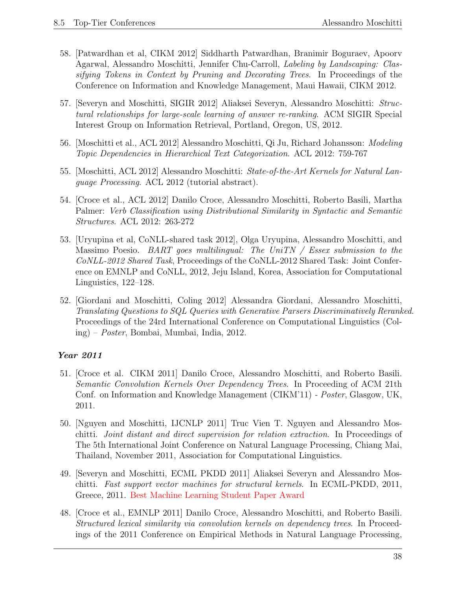- 58. [Patwardhan et al, CIKM 2012] Siddharth Patwardhan, Branimir Boguraev, Apoorv Agarwal, Alessandro Moschitti, Jennifer Chu-Carroll, Labeling by Landscaping: Classifying Tokens in Context by Pruning and Decorating Trees. In Proceedings of the Conference on Information and Knowledge Management, Maui Hawaii, CIKM 2012.
- 57. [Severyn and Moschitti, SIGIR 2012] Aliaksei Severyn, Alessandro Moschitti: Structural relationships for large-scale learning of answer re-ranking. ACM SIGIR Special Interest Group on Information Retrieval, Portland, Oregon, US, 2012.
- 56. [Moschitti et al., ACL 2012] Alessandro Moschitti, Qi Ju, Richard Johansson: Modeling Topic Dependencies in Hierarchical Text Categorization. ACL 2012: 759-767
- 55. [Moschitti, ACL 2012] Alessandro Moschitti: State-of-the-Art Kernels for Natural Language Processing. ACL 2012 (tutorial abstract).
- 54. [Croce et al., ACL 2012] Danilo Croce, Alessandro Moschitti, Roberto Basili, Martha Palmer: Verb Classification using Distributional Similarity in Syntactic and Semantic Structures. ACL 2012: 263-272
- 53. [Uryupina et al, CoNLL-shared task 2012], Olga Uryupina, Alessandro Moschitti, and Massimo Poesio. BART goes multilingual: The UniTN / Essex submission to the CoNLL-2012 Shared Task, Proceedings of the CoNLL-2012 Shared Task: Joint Conference on EMNLP and CoNLL, 2012, Jeju Island, Korea, Association for Computational Linguistics, 122–128.
- 52. [Giordani and Moschitti, Coling 2012] Alessandra Giordani, Alessandro Moschitti, Translating Questions to SQL Queries with Generative Parsers Discriminatively Reranked. Proceedings of the 24rd International Conference on Computational Linguistics (Coling) – Poster, Bombai, Mumbai, India, 2012.

- 51. [Croce et al. CIKM 2011] Danilo Croce, Alessandro Moschitti, and Roberto Basili. Semantic Convolution Kernels Over Dependency Trees. In Proceeding of ACM 21th Conf. on Information and Knowledge Management (CIKM'11) - Poster, Glasgow, UK, 2011.
- 50. [Nguyen and Moschitti, IJCNLP 2011] Truc Vien T. Nguyen and Alessandro Moschitti. Joint distant and direct supervision for relation extraction. In Proceedings of The 5th International Joint Conference on Natural Language Processing, Chiang Mai, Thailand, November 2011, Association for Computational Linguistics.
- 49. [Severyn and Moschitti, ECML PKDD 2011] Aliaksei Severyn and Alessandro Moschitti. Fast support vector machines for structural kernels. In ECML-PKDD, 2011, Greece, 2011. Best Machine Learning Student Paper Award
- 48. [Croce et al., EMNLP 2011] Danilo Croce, Alessandro Moschitti, and Roberto Basili. Structured lexical similarity via convolution kernels on dependency trees. In Proceedings of the 2011 Conference on Empirical Methods in Natural Language Processing,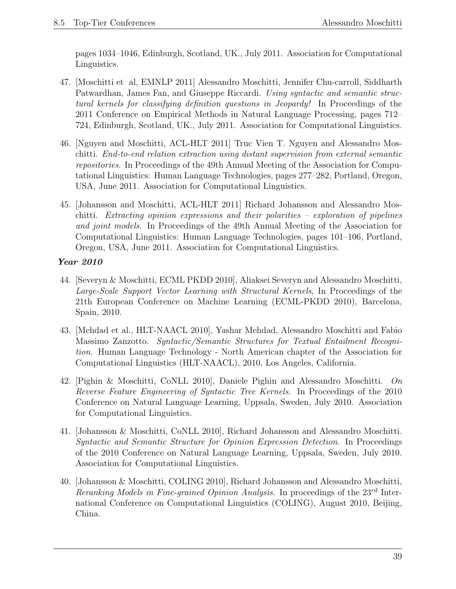pages 1034–1046, Edinburgh, Scotland, UK., July 2011. Association for Computational Linguistics.

- 47. [Moschitti et al, EMNLP 2011] Alessandro Moschitti, Jennifer Chu-carroll, Siddharth Patwardhan, James Fan, and Giuseppe Riccardi. Using syntactic and semantic structural kernels for classifying definition questions in Jeopardy! In Proceedings of the 2011 Conference on Empirical Methods in Natural Language Processing, pages 712– 724, Edinburgh, Scotland, UK., July 2011. Association for Computational Linguistics.
- 46. [Nguyen and Moschitti, ACL-HLT 2011] Truc Vien T. Nguyen and Alessandro Moschitti. End-to-end relation extraction using distant supervision from external semantic repositories. In Proceedings of the 49th Annual Meeting of the Association for Computational Linguistics: Human Language Technologies, pages 277–282, Portland, Oregon, USA, June 2011. Association for Computational Linguistics.
- 45. [Johansson and Moschitti, ACL-HLT 2011] Richard Johansson and Alessandro Moschitti. Extracting opinion expressions and their polarities – exploration of pipelines and joint models. In Proceedings of the 49th Annual Meeting of the Association for Computational Linguistics: Human Language Technologies, pages 101–106, Portland, Oregon, USA, June 2011. Association for Computational Linguistics.

- 44. [Severyn & Moschitti, ECML PKDD 2010], Aliaksei Severyn and Alessandro Moschitti, Large-Scale Support Vector Learning with Structural Kernels, In Proceedings of the 21th European Conference on Machine Learning (ECML-PKDD 2010), Barcelona, Spain, 2010.
- 43. [Mehdad et al., HLT-NAACL 2010], Yashar Mehdad, Alessandro Moschitti and Fabio Massimo Zanzotto. Syntactic/Semantic Structures for Textual Entailment Recognition. Human Language Technology - North American chapter of the Association for Computational Linguistics (HLT-NAACL), 2010, Los Angeles, California.
- 42. [Pighin & Moschitti, CoNLL 2010], Daniele Pighin and Alessandro Moschitti. On Reverse Feature Engineering of Syntactic Tree Kernels. In Proceedings of the 2010 Conference on Natural Language Learning, Uppsala, Sweden, July 2010. Association for Computational Linguistics.
- 41. [Johansson & Moschitti, CoNLL 2010], Richard Johansson and Alessandro Moschitti. Syntactic and Semantic Structure for Opinion Expression Detection. In Proceedings of the 2010 Conference on Natural Language Learning, Uppsala, Sweden, July 2010. Association for Computational Linguistics.
- 40. [Johansson & Moschitti, COLING 2010], Richard Johansson and Alessandro Moschitti, Reranking Models in Fine-grained Opinion Analysis. In proceedings of the  $23^{rd}$  International Conference on Computational Linguistics (COLING), August 2010, Beijing, China.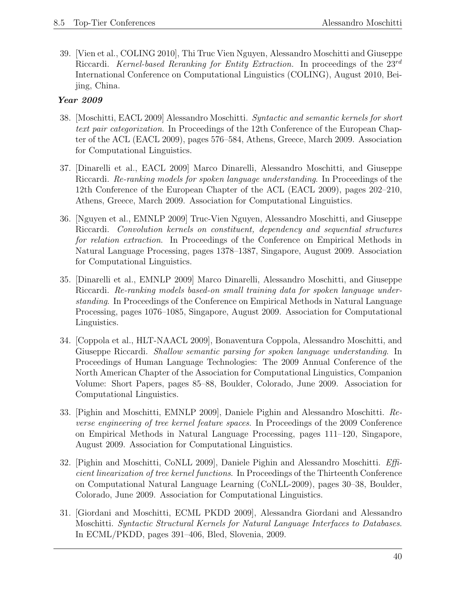39. [Vien et al., COLING 2010], Thi Truc Vien Nguyen, Alessandro Moschitti and Giuseppe Riccardi. Kernel-based Reranking for Entity Extraction. In proceedings of the  $23^{rd}$ International Conference on Computational Linguistics (COLING), August 2010, Beijing, China.

- 38. [Moschitti, EACL 2009] Alessandro Moschitti. Syntactic and semantic kernels for short text pair categorization. In Proceedings of the 12th Conference of the European Chapter of the ACL (EACL 2009), pages 576–584, Athens, Greece, March 2009. Association for Computational Linguistics.
- 37. [Dinarelli et al., EACL 2009] Marco Dinarelli, Alessandro Moschitti, and Giuseppe Riccardi. Re-ranking models for spoken language understanding. In Proceedings of the 12th Conference of the European Chapter of the ACL (EACL 2009), pages 202–210, Athens, Greece, March 2009. Association for Computational Linguistics.
- 36. [Nguyen et al., EMNLP 2009] Truc-Vien Nguyen, Alessandro Moschitti, and Giuseppe Riccardi. Convolution kernels on constituent, dependency and sequential structures for relation extraction. In Proceedings of the Conference on Empirical Methods in Natural Language Processing, pages 1378–1387, Singapore, August 2009. Association for Computational Linguistics.
- 35. [Dinarelli et al., EMNLP 2009] Marco Dinarelli, Alessandro Moschitti, and Giuseppe Riccardi. Re-ranking models based-on small training data for spoken language understanding. In Proceedings of the Conference on Empirical Methods in Natural Language Processing, pages 1076–1085, Singapore, August 2009. Association for Computational Linguistics.
- 34. [Coppola et al., HLT-NAACL 2009], Bonaventura Coppola, Alessandro Moschitti, and Giuseppe Riccardi. Shallow semantic parsing for spoken language understanding. In Proceedings of Human Language Technologies: The 2009 Annual Conference of the North American Chapter of the Association for Computational Linguistics, Companion Volume: Short Papers, pages 85–88, Boulder, Colorado, June 2009. Association for Computational Linguistics.
- 33. [Pighin and Moschitti, EMNLP 2009], Daniele Pighin and Alessandro Moschitti. Reverse engineering of tree kernel feature spaces. In Proceedings of the 2009 Conference on Empirical Methods in Natural Language Processing, pages 111–120, Singapore, August 2009. Association for Computational Linguistics.
- 32. [Pighin and Moschitti, CoNLL 2009], Daniele Pighin and Alessandro Moschitti. Efficient linearization of tree kernel functions. In Proceedings of the Thirteenth Conference on Computational Natural Language Learning (CoNLL-2009), pages 30–38, Boulder, Colorado, June 2009. Association for Computational Linguistics.
- 31. [Giordani and Moschitti, ECML PKDD 2009], Alessandra Giordani and Alessandro Moschitti. Syntactic Structural Kernels for Natural Language Interfaces to Databases. In ECML/PKDD, pages 391–406, Bled, Slovenia, 2009.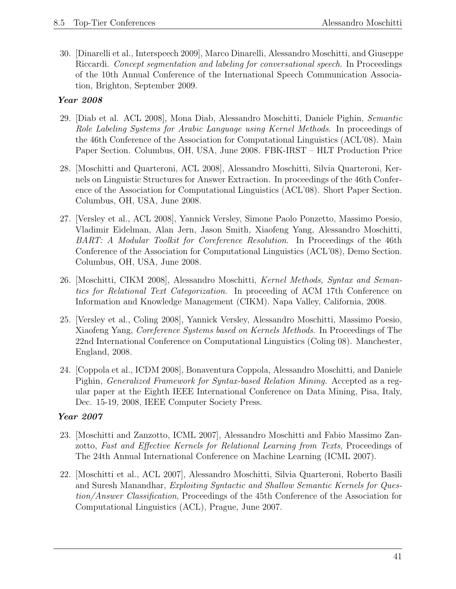30. [Dinarelli et al., Interspeech 2009], Marco Dinarelli, Alessandro Moschitti, and Giuseppe Riccardi. Concept segmentation and labeling for conversational speech. In Proceedings of the 10th Annual Conference of the International Speech Communication Association, Brighton, September 2009.

### Year 2008

- 29. [Diab et al. ACL 2008], Mona Diab, Alessandro Moschitti, Daniele Pighin, Semantic Role Labeling Systems for Arabic Language using Kernel Methods. In proceedings of the 46th Conference of the Association for Computational Linguistics (ACL'08). Main Paper Section. Columbus, OH, USA, June 2008. FBK-IRST – HLT Production Price
- 28. [Moschitti and Quarteroni, ACL 2008], Alessandro Moschitti, Silvia Quarteroni, Kernels on Linguistic Structures for Answer Extraction. In proceedings of the 46th Conference of the Association for Computational Linguistics (ACL'08). Short Paper Section. Columbus, OH, USA, June 2008.
- 27. [Versley et al., ACL 2008], Yannick Versley, Simone Paolo Ponzetto, Massimo Poesio, Vladimir Eidelman, Alan Jern, Jason Smith, Xiaofeng Yang, Alessandro Moschitti, BART: A Modular Toolkit for Coreference Resolution. In Proceedings of the 46th Conference of the Association for Computational Linguistics (ACL'08), Demo Section. Columbus, OH, USA, June 2008.
- 26. [Moschitti, CIKM 2008], Alessandro Moschitti, Kernel Methods, Syntax and Semantics for Relational Text Categorization. In proceeding of ACM 17th Conference on Information and Knowledge Management (CIKM). Napa Valley, California, 2008.
- 25. [Versley et al., Coling 2008], Yannick Versley, Alessandro Moschitti, Massimo Poesio, Xiaofeng Yang, Coreference Systems based on Kernels Methods. In Proceedings of The 22nd International Conference on Computational Linguistics (Coling 08). Manchester, England, 2008.
- 24. [Coppola et al., ICDM 2008], Bonaventura Coppola, Alessandro Moschitti, and Daniele Pighin, Generalized Framework for Syntax-based Relation Mining. Accepted as a regular paper at the Eighth IEEE International Conference on Data Mining, Pisa, Italy, Dec. 15-19, 2008, IEEE Computer Society Press.

- 23. [Moschitti and Zanzotto, ICML 2007], Alessandro Moschitti and Fabio Massimo Zanzotto, Fast and Effective Kernels for Relational Learning from Texts, Proceedings of The 24th Annual International Conference on Machine Learning (ICML 2007).
- 22. [Moschitti et al., ACL 2007], Alessandro Moschitti, Silvia Quarteroni, Roberto Basili and Suresh Manandhar, Exploiting Syntactic and Shallow Semantic Kernels for Question/Answer Classification, Proceedings of the 45th Conference of the Association for Computational Linguistics (ACL), Prague, June 2007.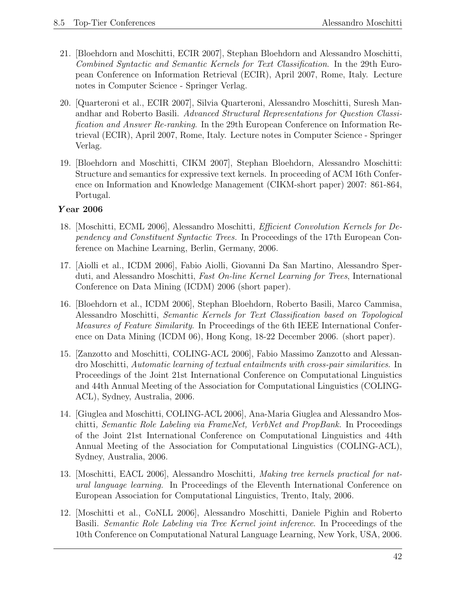- 21. [Bloehdorn and Moschitti, ECIR 2007], Stephan Bloehdorn and Alessandro Moschitti, Combined Syntactic and Semantic Kernels for Text Classification. In the 29th European Conference on Information Retrieval (ECIR), April 2007, Rome, Italy. Lecture notes in Computer Science - Springer Verlag.
- 20. [Quarteroni et al., ECIR 2007], Silvia Quarteroni, Alessandro Moschitti, Suresh Manandhar and Roberto Basili. Advanced Structural Representations for Question Classification and Answer Re-ranking. In the 29th European Conference on Information Retrieval (ECIR), April 2007, Rome, Italy. Lecture notes in Computer Science - Springer Verlag.
- 19. [Bloehdorn and Moschitti, CIKM 2007], Stephan Bloehdorn, Alessandro Moschitti: Structure and semantics for expressive text kernels. In proceeding of ACM 16th Conference on Information and Knowledge Management (CIKM-short paper) 2007: 861-864, Portugal.

#### Y ear 2006

- 18. [Moschitti, ECML 2006], Alessandro Moschitti, Efficient Convolution Kernels for Dependency and Constituent Syntactic Trees. In Proceedings of the 17th European Conference on Machine Learning, Berlin, Germany, 2006.
- 17. [Aiolli et al., ICDM 2006], Fabio Aiolli, Giovanni Da San Martino, Alessandro Sperduti, and Alessandro Moschitti, Fast On-line Kernel Learning for Trees, International Conference on Data Mining (ICDM) 2006 (short paper).
- 16. [Bloehdorn et al., ICDM 2006], Stephan Bloehdorn, Roberto Basili, Marco Cammisa, Alessandro Moschitti, Semantic Kernels for Text Classification based on Topological Measures of Feature Similarity. In Proceedings of the 6th IEEE International Conference on Data Mining (ICDM 06), Hong Kong, 18-22 December 2006. (short paper).
- 15. [Zanzotto and Moschitti, COLING-ACL 2006], Fabio Massimo Zanzotto and Alessandro Moschitti, Automatic learning of textual entailments with cross-pair similarities. In Proceedings of the Joint 21st International Conference on Computational Linguistics and 44th Annual Meeting of the Association for Computational Linguistics (COLING-ACL), Sydney, Australia, 2006.
- 14. [Giuglea and Moschitti, COLING-ACL 2006], Ana-Maria Giuglea and Alessandro Moschitti, Semantic Role Labeling via FrameNet, VerbNet and PropBank. In Proceedings of the Joint 21st International Conference on Computational Linguistics and 44th Annual Meeting of the Association for Computational Linguistics (COLING-ACL), Sydney, Australia, 2006.
- 13. [Moschitti, EACL 2006], Alessandro Moschitti, Making tree kernels practical for natural language learning. In Proceedings of the Eleventh International Conference on European Association for Computational Linguistics, Trento, Italy, 2006.
- 12. [Moschitti et al., CoNLL 2006], Alessandro Moschitti, Daniele Pighin and Roberto Basili. Semantic Role Labeling via Tree Kernel joint inference. In Proceedings of the 10th Conference on Computational Natural Language Learning, New York, USA, 2006.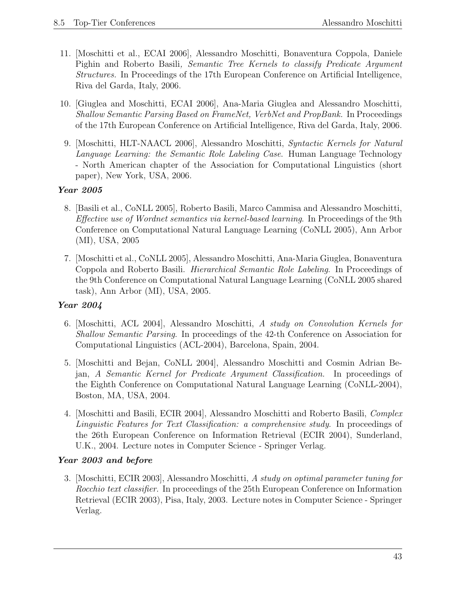- 11. [Moschitti et al., ECAI 2006], Alessandro Moschitti, Bonaventura Coppola, Daniele Pighin and Roberto Basili, Semantic Tree Kernels to classify Predicate Argument Structures. In Proceedings of the 17th European Conference on Artificial Intelligence, Riva del Garda, Italy, 2006.
- 10. [Giuglea and Moschitti, ECAI 2006], Ana-Maria Giuglea and Alessandro Moschitti, Shallow Semantic Parsing Based on FrameNet, VerbNet and PropBank. In Proceedings of the 17th European Conference on Artificial Intelligence, Riva del Garda, Italy, 2006.
- 9. [Moschitti, HLT-NAACL 2006], Alessandro Moschitti, Syntactic Kernels for Natural Language Learning: the Semantic Role Labeling Case. Human Language Technology - North American chapter of the Association for Computational Linguistics (short paper), New York, USA, 2006.

- 8. [Basili et al., CoNLL 2005], Roberto Basili, Marco Cammisa and Alessandro Moschitti, Effective use of Wordnet semantics via kernel-based learning. In Proceedings of the 9th Conference on Computational Natural Language Learning (CoNLL 2005), Ann Arbor (MI), USA, 2005
- 7. [Moschitti et al., CoNLL 2005], Alessandro Moschitti, Ana-Maria Giuglea, Bonaventura Coppola and Roberto Basili. Hierarchical Semantic Role Labeling. In Proceedings of the 9th Conference on Computational Natural Language Learning (CoNLL 2005 shared task), Ann Arbor (MI), USA, 2005.

## Year 2004

- 6. [Moschitti, ACL 2004], Alessandro Moschitti, A study on Convolution Kernels for Shallow Semantic Parsing. In proceedings of the 42-th Conference on Association for Computational Linguistics (ACL-2004), Barcelona, Spain, 2004.
- 5. [Moschitti and Bejan, CoNLL 2004], Alessandro Moschitti and Cosmin Adrian Bejan, A Semantic Kernel for Predicate Argument Classification. In proceedings of the Eighth Conference on Computational Natural Language Learning (CoNLL-2004), Boston, MA, USA, 2004.
- 4. [Moschitti and Basili, ECIR 2004], Alessandro Moschitti and Roberto Basili, Complex Linguistic Features for Text Classification: a comprehensive study. In proceedings of the 26th European Conference on Information Retrieval (ECIR 2004), Sunderland, U.K., 2004. Lecture notes in Computer Science - Springer Verlag.

#### Year 2003 and before

3. [Moschitti, ECIR 2003], Alessandro Moschitti, A study on optimal parameter tuning for Rocchio text classifier. In proceedings of the 25th European Conference on Information Retrieval (ECIR 2003), Pisa, Italy, 2003. Lecture notes in Computer Science - Springer Verlag.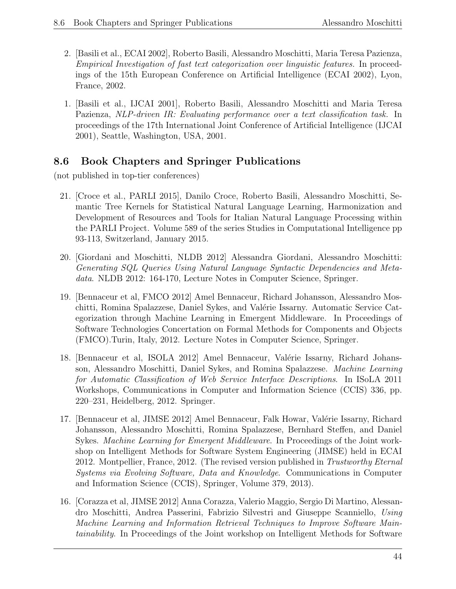- 2. [Basili et al., ECAI 2002], Roberto Basili, Alessandro Moschitti, Maria Teresa Pazienza, Empirical Investigation of fast text categorization over linguistic features. In proceedings of the 15th European Conference on Artificial Intelligence (ECAI 2002), Lyon, France, 2002.
- 1. [Basili et al., IJCAI 2001], Roberto Basili, Alessandro Moschitti and Maria Teresa Pazienza, NLP-driven IR: Evaluating performance over a text classification task. In proceedings of the 17th International Joint Conference of Artificial Intelligence (IJCAI 2001), Seattle, Washington, USA, 2001.

# 8.6 Book Chapters and Springer Publications

(not published in top-tier conferences)

- 21. [Croce et al., PARLI 2015], Danilo Croce, Roberto Basili, Alessandro Moschitti, Semantic Tree Kernels for Statistical Natural Language Learning, Harmonization and Development of Resources and Tools for Italian Natural Language Processing within the PARLI Project. Volume 589 of the series Studies in Computational Intelligence pp 93-113, Switzerland, January 2015.
- 20. [Giordani and Moschitti, NLDB 2012] Alessandra Giordani, Alessandro Moschitti: Generating SQL Queries Using Natural Language Syntactic Dependencies and Metadata. NLDB 2012: 164-170, Lecture Notes in Computer Science, Springer.
- 19. [Bennaceur et al, FMCO 2012] Amel Bennaceur, Richard Johansson, Alessandro Moschitti, Romina Spalazzese, Daniel Sykes, and Valérie Issarny. Automatic Service Categorization through Machine Learning in Emergent Middleware. In Proceedings of Software Technologies Concertation on Formal Methods for Components and Objects (FMCO).Turin, Italy, 2012. Lecture Notes in Computer Science, Springer.
- 18. [Bennaceur et al, ISOLA 2012] Amel Bennaceur, Valérie Issarny, Richard Johansson, Alessandro Moschitti, Daniel Sykes, and Romina Spalazzese. Machine Learning for Automatic Classification of Web Service Interface Descriptions. In ISoLA 2011 Workshops, Communications in Computer and Information Science (CCIS) 336, pp. 220–231, Heidelberg, 2012. Springer.
- 17. [Bennaceur et al, JIMSE 2012] Amel Bennaceur, Falk Howar, Valérie Issarny, Richard Johansson, Alessandro Moschitti, Romina Spalazzese, Bernhard Steffen, and Daniel Sykes. Machine Learning for Emergent Middleware. In Proceedings of the Joint workshop on Intelligent Methods for Software System Engineering (JIMSE) held in ECAI 2012. Montpellier, France, 2012. (The revised version published in Trustworthy Eternal Systems via Evolving Software, Data and Knowledge. Communications in Computer and Information Science (CCIS), Springer, Volume 379, 2013).
- 16. [Corazza et al, JIMSE 2012] Anna Corazza, Valerio Maggio, Sergio Di Martino, Alessandro Moschitti, Andrea Passerini, Fabrizio Silvestri and Giuseppe Scanniello, Using Machine Learning and Information Retrieval Techniques to Improve Software Maintainability. In Proceedings of the Joint workshop on Intelligent Methods for Software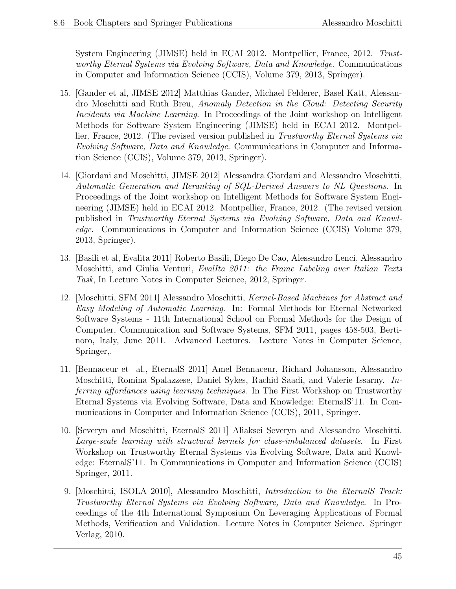System Engineering (JIMSE) held in ECAI 2012. Montpellier, France, 2012. Trustworthy Eternal Systems via Evolving Software, Data and Knowledge. Communications in Computer and Information Science (CCIS), Volume 379, 2013, Springer).

- 15. [Gander et al, JIMSE 2012] Matthias Gander, Michael Felderer, Basel Katt, Alessandro Moschitti and Ruth Breu, Anomaly Detection in the Cloud: Detecting Security Incidents via Machine Learning. In Proceedings of the Joint workshop on Intelligent Methods for Software System Engineering (JIMSE) held in ECAI 2012. Montpellier, France, 2012. (The revised version published in Trustworthy Eternal Systems via Evolving Software, Data and Knowledge. Communications in Computer and Information Science (CCIS), Volume 379, 2013, Springer).
- 14. [Giordani and Moschitti, JIMSE 2012] Alessandra Giordani and Alessandro Moschitti, Automatic Generation and Reranking of SQL-Derived Answers to NL Questions. In Proceedings of the Joint workshop on Intelligent Methods for Software System Engineering (JIMSE) held in ECAI 2012. Montpellier, France, 2012. (The revised version published in Trustworthy Eternal Systems via Evolving Software, Data and Knowledge. Communications in Computer and Information Science (CCIS) Volume 379, 2013, Springer).
- 13. [Basili et al, Evalita 2011] Roberto Basili, Diego De Cao, Alessandro Lenci, Alessandro Moschitti, and Giulia Venturi, EvalIta 2011: the Frame Labeling over Italian Texts Task, In Lecture Notes in Computer Science, 2012, Springer.
- 12. [Moschitti, SFM 2011] Alessandro Moschitti, Kernel-Based Machines for Abstract and Easy Modeling of Automatic Learning. In: Formal Methods for Eternal Networked Software Systems - 11th International School on Formal Methods for the Design of Computer, Communication and Software Systems, SFM 2011, pages 458-503, Bertinoro, Italy, June 2011. Advanced Lectures. Lecture Notes in Computer Science, Springer,.
- 11. [Bennaceur et al., EternalS 2011] Amel Bennaceur, Richard Johansson, Alessandro Moschitti, Romina Spalazzese, Daniel Sykes, Rachid Saadi, and Valerie Issarny. Inferring affordances using learning techniques. In The First Workshop on Trustworthy Eternal Systems via Evolving Software, Data and Knowledge: EternalS'11. In Communications in Computer and Information Science (CCIS), 2011, Springer.
- 10. [Severyn and Moschitti, EternalS 2011] Aliaksei Severyn and Alessandro Moschitti. Large-scale learning with structural kernels for class-imbalanced datasets. In First Workshop on Trustworthy Eternal Systems via Evolving Software, Data and Knowledge: EternalS'11. In Communications in Computer and Information Science (CCIS) Springer, 2011.
- 9. [Moschitti, ISOLA 2010], Alessandro Moschitti, Introduction to the EternalS Track: Trustworthy Eternal Systems via Evolving Software, Data and Knowledge. In Proceedings of the 4th International Symposium On Leveraging Applications of Formal Methods, Verification and Validation. Lecture Notes in Computer Science. Springer Verlag, 2010.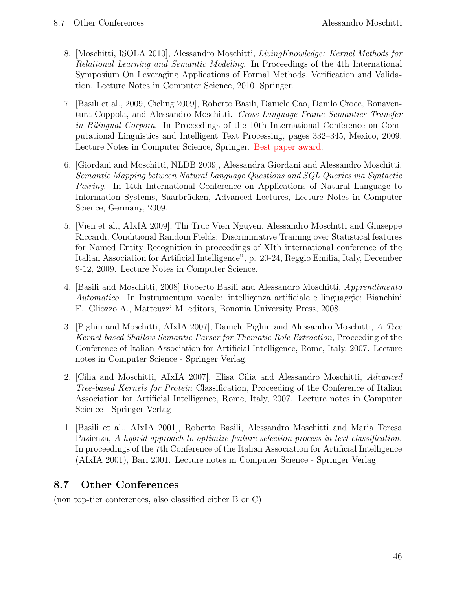- 8. [Moschitti, ISOLA 2010], Alessandro Moschitti, LivingKnowledge: Kernel Methods for Relational Learning and Semantic Modeling. In Proceedings of the 4th International Symposium On Leveraging Applications of Formal Methods, Verification and Validation. Lecture Notes in Computer Science, 2010, Springer.
- 7. [Basili et al., 2009, Cicling 2009], Roberto Basili, Daniele Cao, Danilo Croce, Bonaventura Coppola, and Alessandro Moschitti. Cross-Language Frame Semantics Transfer in Bilingual Corpora. In Proceedings of the 10th International Conference on Computational Linguistics and Intelligent Text Processing, pages 332–345, Mexico, 2009. Lecture Notes in Computer Science, Springer. Best paper award.
- 6. [Giordani and Moschitti, NLDB 2009], Alessandra Giordani and Alessandro Moschitti. Semantic Mapping between Natural Language Questions and SQL Queries via Syntactic Pairing. In 14th International Conference on Applications of Natural Language to Information Systems, Saarbrücken, Advanced Lectures, Lecture Notes in Computer Science, Germany, 2009.
- 5. [Vien et al., AIxIA 2009], Thi Truc Vien Nguyen, Alessandro Moschitti and Giuseppe Riccardi, Conditional Random Fields: Discriminative Training over Statistical features for Named Entity Recognition in proceedings of XIth international conference of the Italian Association for Artificial Intelligence", p. 20-24, Reggio Emilia, Italy, December 9-12, 2009. Lecture Notes in Computer Science.
- 4. [Basili and Moschitti, 2008] Roberto Basili and Alessandro Moschitti, Apprendimento Automatico. In Instrumentum vocale: intelligenza artificiale e linguaggio; Bianchini F., Gliozzo A., Matteuzzi M. editors, Bononia University Press, 2008.
- 3. [Pighin and Moschitti, AIxIA 2007], Daniele Pighin and Alessandro Moschitti, A Tree Kernel-based Shallow Semantic Parser for Thematic Role Extraction, Proceeding of the Conference of Italian Association for Artificial Intelligence, Rome, Italy, 2007. Lecture notes in Computer Science - Springer Verlag.
- 2. [Cilia and Moschitti, AIxIA 2007], Elisa Cilia and Alessandro Moschitti, Advanced Tree-based Kernels for Protein Classification, Proceeding of the Conference of Italian Association for Artificial Intelligence, Rome, Italy, 2007. Lecture notes in Computer Science - Springer Verlag
- 1. [Basili et al., AIxIA 2001], Roberto Basili, Alessandro Moschitti and Maria Teresa Pazienza, A hybrid approach to optimize feature selection process in text classification. In proceedings of the 7th Conference of the Italian Association for Artificial Intelligence (AIxIA 2001), Bari 2001. Lecture notes in Computer Science - Springer Verlag.

# 8.7 Other Conferences

(non top-tier conferences, also classified either B or C)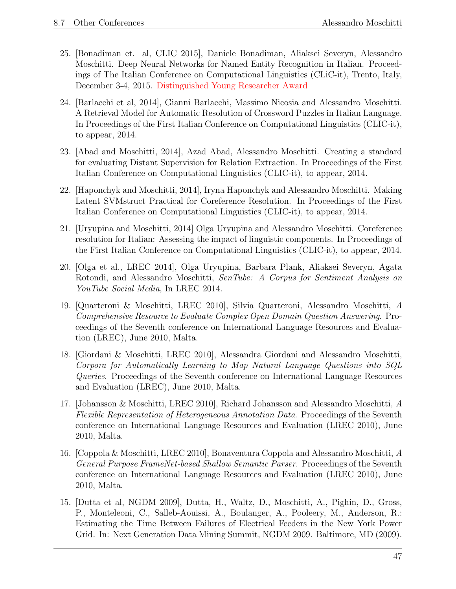- 25. [Bonadiman et. al, CLIC 2015], Daniele Bonadiman, Aliaksei Severyn, Alessandro Moschitti. Deep Neural Networks for Named Entity Recognition in Italian. Proceedings of The Italian Conference on Computational Linguistics (CLiC-it), Trento, Italy, December 3-4, 2015. Distinguished Young Researcher Award
- 24. [Barlacchi et al, 2014], Gianni Barlacchi, Massimo Nicosia and Alessandro Moschitti. A Retrieval Model for Automatic Resolution of Crossword Puzzles in Italian Language. In Proceedings of the First Italian Conference on Computational Linguistics (CLIC-it), to appear, 2014.
- 23. [Abad and Moschitti, 2014], Azad Abad, Alessandro Moschitti. Creating a standard for evaluating Distant Supervision for Relation Extraction. In Proceedings of the First Italian Conference on Computational Linguistics (CLIC-it), to appear, 2014.
- 22. [Haponchyk and Moschitti, 2014], Iryna Haponchyk and Alessandro Moschitti. Making Latent SVMstruct Practical for Coreference Resolution. In Proceedings of the First Italian Conference on Computational Linguistics (CLIC-it), to appear, 2014.
- 21. [Uryupina and Moschitti, 2014] Olga Uryupina and Alessandro Moschitti. Coreference resolution for Italian: Assessing the impact of linguistic components. In Proceedings of the First Italian Conference on Computational Linguistics (CLIC-it), to appear, 2014.
- 20. [Olga et al., LREC 2014], Olga Uryupina, Barbara Plank, Aliaksei Severyn, Agata Rotondi, and Alessandro Moschitti, SenTube: A Corpus for Sentiment Analysis on YouTube Social Media, In LREC 2014.
- 19. [Quarteroni & Moschitti, LREC 2010], Silvia Quarteroni, Alessandro Moschitti, A Comprehensive Resource to Evaluate Complex Open Domain Question Answering. Proceedings of the Seventh conference on International Language Resources and Evaluation (LREC), June 2010, Malta.
- 18. [Giordani & Moschitti, LREC 2010], Alessandra Giordani and Alessandro Moschitti, Corpora for Automatically Learning to Map Natural Language Questions into SQL Queries. Proceedings of the Seventh conference on International Language Resources and Evaluation (LREC), June 2010, Malta.
- 17. [Johansson & Moschitti, LREC 2010], Richard Johansson and Alessandro Moschitti, A Flexible Representation of Heterogeneous Annotation Data. Proceedings of the Seventh conference on International Language Resources and Evaluation (LREC 2010), June 2010, Malta.
- 16. [Coppola & Moschitti, LREC 2010], Bonaventura Coppola and Alessandro Moschitti, A General Purpose FrameNet-based Shallow Semantic Parser. Proceedings of the Seventh conference on International Language Resources and Evaluation (LREC 2010), June 2010, Malta.
- 15. [Dutta et al, NGDM 2009], Dutta, H., Waltz, D., Moschitti, A., Pighin, D., Gross, P., Monteleoni, C., Salleb-Aouissi, A., Boulanger, A., Pooleery, M., Anderson, R.: Estimating the Time Between Failures of Electrical Feeders in the New York Power Grid. In: Next Generation Data Mining Summit, NGDM 2009. Baltimore, MD (2009).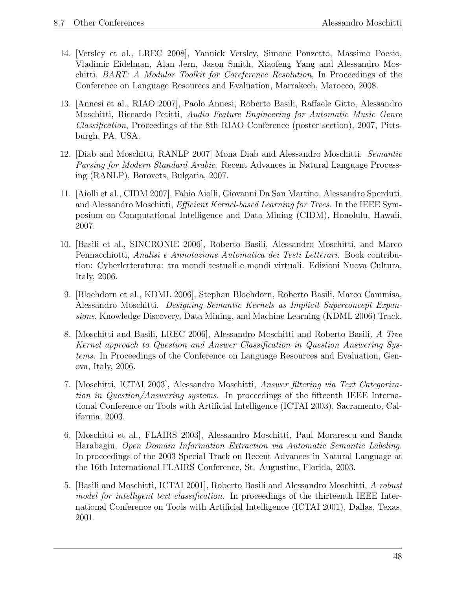- 14. [Versley et al., LREC 2008], Yannick Versley, Simone Ponzetto, Massimo Poesio, Vladimir Eidelman, Alan Jern, Jason Smith, Xiaofeng Yang and Alessandro Moschitti, BART: A Modular Toolkit for Coreference Resolution, In Proceedings of the Conference on Language Resources and Evaluation, Marrakech, Marocco, 2008.
- 13. [Annesi et al., RIAO 2007], Paolo Annesi, Roberto Basili, Raffaele Gitto, Alessandro Moschitti, Riccardo Petitti, Audio Feature Engineering for Automatic Music Genre Classification, Proceedings of the 8th RIAO Conference (poster section), 2007, Pittsburgh, PA, USA.
- 12. [Diab and Moschitti, RANLP 2007] Mona Diab and Alessandro Moschitti. Semantic Parsing for Modern Standard Arabic. Recent Advances in Natural Language Processing (RANLP), Borovets, Bulgaria, 2007.
- 11. [Aiolli et al., CIDM 2007], Fabio Aiolli, Giovanni Da San Martino, Alessandro Sperduti, and Alessandro Moschitti, *Efficient Kernel-based Learning for Trees*. In the IEEE Symposium on Computational Intelligence and Data Mining (CIDM), Honolulu, Hawaii, 2007.
- 10. [Basili et al., SINCRONIE 2006], Roberto Basili, Alessandro Moschitti, and Marco Pennacchiotti, Analisi e Annotazione Automatica dei Testi Letterari. Book contribution: Cyberletteratura: tra mondi testuali e mondi virtuali. Edizioni Nuova Cultura, Italy, 2006.
- 9. [Bloehdorn et al., KDML 2006], Stephan Bloehdorn, Roberto Basili, Marco Cammisa, Alessandro Moschitti. Designing Semantic Kernels as Implicit Superconcept Expansions, Knowledge Discovery, Data Mining, and Machine Learning (KDML 2006) Track.
- 8. [Moschitti and Basili, LREC 2006], Alessandro Moschitti and Roberto Basili, A Tree Kernel approach to Question and Answer Classification in Question Answering Systems. In Proceedings of the Conference on Language Resources and Evaluation, Genova, Italy, 2006.
- 7. [Moschitti, ICTAI 2003], Alessandro Moschitti, Answer filtering via Text Categorization in Question/Answering systems. In proceedings of the fifteenth IEEE International Conference on Tools with Artificial Intelligence (ICTAI 2003), Sacramento, California, 2003.
- 6. [Moschitti et al., FLAIRS 2003], Alessandro Moschitti, Paul Morarescu and Sanda Harabagiu, Open Domain Information Extraction via Automatic Semantic Labeling. In proceedings of the 2003 Special Track on Recent Advances in Natural Language at the 16th International FLAIRS Conference, St. Augustine, Florida, 2003.
- 5. [Basili and Moschitti, ICTAI 2001], Roberto Basili and Alessandro Moschitti, A robust model for intelligent text classification. In proceedings of the thirteenth IEEE International Conference on Tools with Artificial Intelligence (ICTAI 2001), Dallas, Texas, 2001.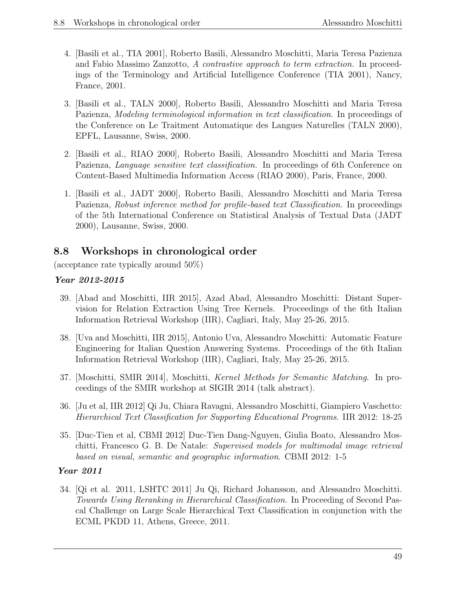- 4. [Basili et al., TIA 2001], Roberto Basili, Alessandro Moschitti, Maria Teresa Pazienza and Fabio Massimo Zanzotto, A contrastive approach to term extraction. In proceedings of the Terminology and Artificial Intelligence Conference (TIA 2001), Nancy, France, 2001.
- 3. [Basili et al., TALN 2000], Roberto Basili, Alessandro Moschitti and Maria Teresa Pazienza, Modeling terminological information in text classification. In proceedings of the Conference on Le Traitment Automatique des Langues Naturelles (TALN 2000), EPFL, Lausanne, Swiss, 2000.
- 2. [Basili et al., RIAO 2000], Roberto Basili, Alessandro Moschitti and Maria Teresa Pazienza, *Language sensitive text classification*. In proceedings of 6th Conference on Content-Based Multimedia Information Access (RIAO 2000), Paris, France, 2000.
- 1. [Basili et al., JADT 2000], Roberto Basili, Alessandro Moschitti and Maria Teresa Pazienza, Robust inference method for profile-based text Classification. In proceedings of the 5th International Conference on Statistical Analysis of Textual Data (JADT 2000), Lausanne, Swiss, 2000.

# 8.8 Workshops in chronological order

(acceptance rate typically around 50%)

### Year 2012-2015

- 39. [Abad and Moschitti, IIR 2015], Azad Abad, Alessandro Moschitti: Distant Supervision for Relation Extraction Using Tree Kernels. Proceedings of the 6th Italian Information Retrieval Workshop (IIR), Cagliari, Italy, May 25-26, 2015.
- 38. [Uva and Moschitti, IIR 2015], Antonio Uva, Alessandro Moschitti: Automatic Feature Engineering for Italian Question Answering Systems. Proceedings of the 6th Italian Information Retrieval Workshop (IIR), Cagliari, Italy, May 25-26, 2015.
- 37. [Moschitti, SMIR 2014], Moschitti, Kernel Methods for Semantic Matching. In proceedings of the SMIR workshop at SIGIR 2014 (talk abstract).
- 36. [Ju et al, IIR 2012] Qi Ju, Chiara Ravagni, Alessandro Moschitti, Giampiero Vaschetto: Hierarchical Text Classification for Supporting Educational Programs. IIR 2012: 18-25
- 35. [Duc-Tien et al, CBMI 2012] Duc-Tien Dang-Nguyen, Giulia Boato, Alessandro Moschitti, Francesco G. B. De Natale: Supervised models for multimodal image retrieval based on visual, semantic and geographic information. CBMI 2012: 1-5

#### Year 2011

34. [Qi et al. 2011, LSHTC 2011] Ju Qi, Richard Johansson, and Alessandro Moschitti. Towards Using Reranking in Hierarchical Classification. In Proceeding of Second Pascal Challenge on Large Scale Hierarchical Text Classification in conjunction with the ECML PKDD 11, Athens, Greece, 2011.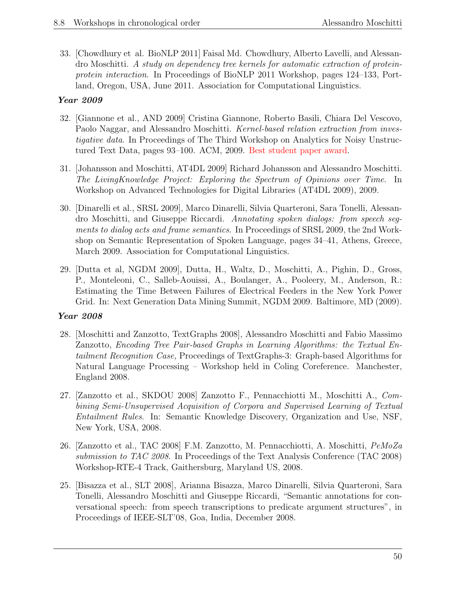33. [Chowdhury et al. BioNLP 2011] Faisal Md. Chowdhury, Alberto Lavelli, and Alessandro Moschitti. A study on dependency tree kernels for automatic extraction of proteinprotein interaction. In Proceedings of BioNLP 2011 Workshop, pages 124–133, Portland, Oregon, USA, June 2011. Association for Computational Linguistics.

## Year 2009

- 32. [Giannone et al., AND 2009] Cristina Giannone, Roberto Basili, Chiara Del Vescovo, Paolo Naggar, and Alessandro Moschitti. Kernel-based relation extraction from investigative data. In Proceedings of The Third Workshop on Analytics for Noisy Unstructured Text Data, pages 93–100. ACM, 2009. Best student paper award.
- 31. [Johansson and Moschitti, AT4DL 2009] Richard Johansson and Alessandro Moschitti. The LivingKnowledge Project: Exploring the Spectrum of Opinions over Time. In Workshop on Advanced Technologies for Digital Libraries (AT4DL 2009), 2009.
- 30. [Dinarelli et al., SRSL 2009], Marco Dinarelli, Silvia Quarteroni, Sara Tonelli, Alessandro Moschitti, and Giuseppe Riccardi. Annotating spoken dialogs: from speech segments to dialog acts and frame semantics. In Proceedings of SRSL 2009, the 2nd Workshop on Semantic Representation of Spoken Language, pages 34–41, Athens, Greece, March 2009. Association for Computational Linguistics.
- 29. [Dutta et al, NGDM 2009], Dutta, H., Waltz, D., Moschitti, A., Pighin, D., Gross, P., Monteleoni, C., Salleb-Aouissi, A., Boulanger, A., Pooleery, M., Anderson, R.: Estimating the Time Between Failures of Electrical Feeders in the New York Power Grid. In: Next Generation Data Mining Summit, NGDM 2009. Baltimore, MD (2009).

- 28. [Moschitti and Zanzotto, TextGraphs 2008], Alessandro Moschitti and Fabio Massimo Zanzotto, Encoding Tree Pair-based Graphs in Learning Algorithms: the Textual Entailment Recognition Case, Proceedings of TextGraphs-3: Graph-based Algorithms for Natural Language Processing – Workshop held in Coling Coreference. Manchester, England 2008.
- 27. [Zanzotto et al., SKDOU 2008] Zanzotto F., Pennacchiotti M., Moschitti A., Combining Semi-Unsupervised Acquisition of Corpora and Supervised Learning of Textual Entailment Rules. In: Semantic Knowledge Discovery, Organization and Use, NSF, New York, USA, 2008.
- 26. [Zanzotto et al., TAC 2008] F.M. Zanzotto, M. Pennacchiotti, A. Moschitti, PeMoZa submission to TAC 2008. In Proceedings of the Text Analysis Conference (TAC 2008) Workshop-RTE-4 Track, Gaithersburg, Maryland US, 2008.
- 25. [Bisazza et al., SLT 2008], Arianna Bisazza, Marco Dinarelli, Silvia Quarteroni, Sara Tonelli, Alessandro Moschitti and Giuseppe Riccardi, "Semantic annotations for conversational speech: from speech transcriptions to predicate argument structures", in Proceedings of IEEE-SLT'08, Goa, India, December 2008.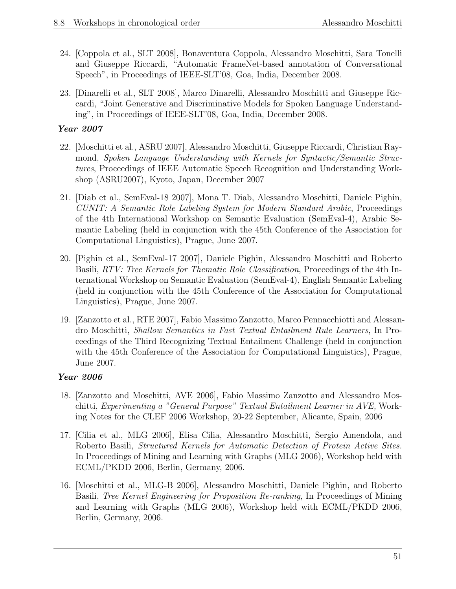- 24. [Coppola et al., SLT 2008], Bonaventura Coppola, Alessandro Moschitti, Sara Tonelli and Giuseppe Riccardi, "Automatic FrameNet-based annotation of Conversational Speech", in Proceedings of IEEE-SLT'08, Goa, India, December 2008.
- 23. [Dinarelli et al., SLT 2008], Marco Dinarelli, Alessandro Moschitti and Giuseppe Riccardi, "Joint Generative and Discriminative Models for Spoken Language Understanding", in Proceedings of IEEE-SLT'08, Goa, India, December 2008.

- 22. [Moschitti et al., ASRU 2007], Alessandro Moschitti, Giuseppe Riccardi, Christian Raymond, Spoken Language Understanding with Kernels for Syntactic/Semantic Structures, Proceedings of IEEE Automatic Speech Recognition and Understanding Workshop (ASRU2007), Kyoto, Japan, December 2007
- 21. [Diab et al., SemEval-18 2007], Mona T. Diab, Alessandro Moschitti, Daniele Pighin, CUNIT: A Semantic Role Labeling System for Modern Standard Arabic, Proceedings of the 4th International Workshop on Semantic Evaluation (SemEval-4), Arabic Semantic Labeling (held in conjunction with the 45th Conference of the Association for Computational Linguistics), Prague, June 2007.
- 20. [Pighin et al., SemEval-17 2007], Daniele Pighin, Alessandro Moschitti and Roberto Basili, RTV: Tree Kernels for Thematic Role Classification, Proceedings of the 4th International Workshop on Semantic Evaluation (SemEval-4), English Semantic Labeling (held in conjunction with the 45th Conference of the Association for Computational Linguistics), Prague, June 2007.
- 19. [Zanzotto et al., RTE 2007], Fabio Massimo Zanzotto, Marco Pennacchiotti and Alessandro Moschitti, Shallow Semantics in Fast Textual Entailment Rule Learners, In Proceedings of the Third Recognizing Textual Entailment Challenge (held in conjunction with the 45th Conference of the Association for Computational Linguistics), Prague, June 2007.

- 18. [Zanzotto and Moschitti, AVE 2006], Fabio Massimo Zanzotto and Alessandro Moschitti, Experimenting a "General Purpose" Textual Entailment Learner in AVE, Working Notes for the CLEF 2006 Workshop, 20-22 September, Alicante, Spain, 2006
- 17. [Cilia et al., MLG 2006], Elisa Cilia, Alessandro Moschitti, Sergio Amendola, and Roberto Basili, Structured Kernels for Automatic Detection of Protein Active Sites. In Proceedings of Mining and Learning with Graphs (MLG 2006), Workshop held with ECML/PKDD 2006, Berlin, Germany, 2006.
- 16. [Moschitti et al., MLG-B 2006], Alessandro Moschitti, Daniele Pighin, and Roberto Basili, Tree Kernel Engineering for Proposition Re-ranking, In Proceedings of Mining and Learning with Graphs (MLG 2006), Workshop held with ECML/PKDD 2006, Berlin, Germany, 2006.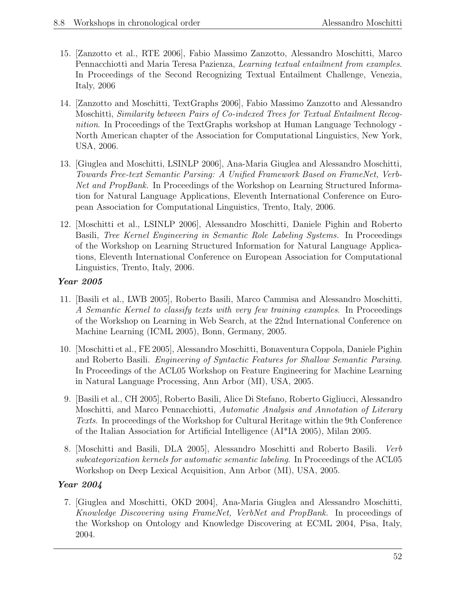- 15. [Zanzotto et al., RTE 2006], Fabio Massimo Zanzotto, Alessandro Moschitti, Marco Pennacchiotti and Maria Teresa Pazienza, Learning textual entailment from examples. In Proceedings of the Second Recognizing Textual Entailment Challenge, Venezia, Italy, 2006
- 14. [Zanzotto and Moschitti, TextGraphs 2006], Fabio Massimo Zanzotto and Alessandro Moschitti, Similarity between Pairs of Co-indexed Trees for Textual Entailment Recognition. In Proceedings of the TextGraphs workshop at Human Language Technology -North American chapter of the Association for Computational Linguistics, New York, USA, 2006.
- 13. [Giuglea and Moschitti, LSINLP 2006], Ana-Maria Giuglea and Alessandro Moschitti, Towards Free-text Semantic Parsing: A Unified Framework Based on FrameNet, Verb-Net and PropBank. In Proceedings of the Workshop on Learning Structured Information for Natural Language Applications, Eleventh International Conference on European Association for Computational Linguistics, Trento, Italy, 2006.
- 12. [Moschitti et al., LSINLP 2006], Alessandro Moschitti, Daniele Pighin and Roberto Basili, Tree Kernel Engineering in Semantic Role Labeling Systems. In Proceedings of the Workshop on Learning Structured Information for Natural Language Applications, Eleventh International Conference on European Association for Computational Linguistics, Trento, Italy, 2006.

- 11. [Basili et al., LWB 2005], Roberto Basili, Marco Cammisa and Alessandro Moschitti, A Semantic Kernel to classify texts with very few training examples. In Proceedings of the Workshop on Learning in Web Search, at the 22nd International Conference on Machine Learning (ICML 2005), Bonn, Germany, 2005.
- 10. [Moschitti et al., FE 2005], Alessandro Moschitti, Bonaventura Coppola, Daniele Pighin and Roberto Basili. Engineering of Syntactic Features for Shallow Semantic Parsing. In Proceedings of the ACL05 Workshop on Feature Engineering for Machine Learning in Natural Language Processing, Ann Arbor (MI), USA, 2005.
- 9. [Basili et al., CH 2005], Roberto Basili, Alice Di Stefano, Roberto Gigliucci, Alessandro Moschitti, and Marco Pennacchiotti, Automatic Analysis and Annotation of Literary Texts. In proceedings of the Workshop for Cultural Heritage within the 9th Conference of the Italian Association for Artificial Intelligence (AI\*IA 2005), Milan 2005.
- 8. [Moschitti and Basili, DLA 2005], Alessandro Moschitti and Roberto Basili. Verb subcategorization kernels for automatic semantic labeling. In Proceedings of the ACL05 Workshop on Deep Lexical Acquisition, Ann Arbor (MI), USA, 2005.

#### Year 2004

7. [Giuglea and Moschitti, OKD 2004], Ana-Maria Giuglea and Alessandro Moschitti, Knowledge Discovering using FrameNet, VerbNet and PropBank. In proceedings of the Workshop on Ontology and Knowledge Discovering at ECML 2004, Pisa, Italy, 2004.